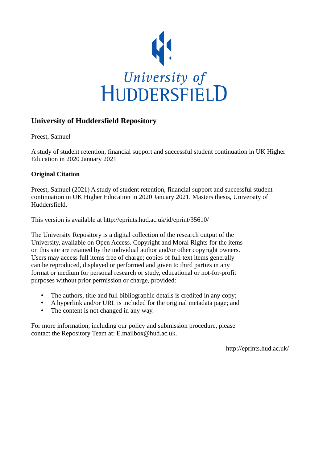

# **University of Huddersfield Repository**

Preest, Samuel

A study of student retention, financial support and successful student continuation in UK Higher Education in 2020 January 2021

#### **Original Citation**

Preest, Samuel (2021) A study of student retention, financial support and successful student continuation in UK Higher Education in 2020 January 2021. Masters thesis, University of Huddersfield.

This version is available at http://eprints.hud.ac.uk/id/eprint/35610/

The University Repository is a digital collection of the research output of the University, available on Open Access. Copyright and Moral Rights for the items on this site are retained by the individual author and/or other copyright owners. Users may access full items free of charge; copies of full text items generally can be reproduced, displayed or performed and given to third parties in any format or medium for personal research or study, educational or not-for-profit purposes without prior permission or charge, provided:

- The authors, title and full bibliographic details is credited in any copy;
- A hyperlink and/or URL is included for the original metadata page; and
- The content is not changed in any way.

For more information, including our policy and submission procedure, please contact the Repository Team at: E.mailbox@hud.ac.uk.

http://eprints.hud.ac.uk/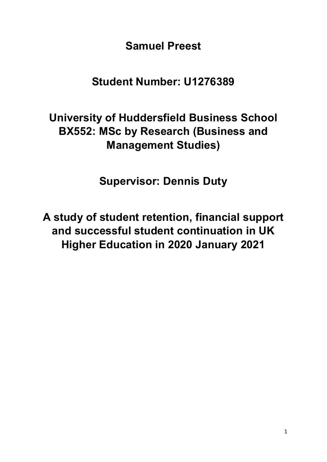**Samuel Preest**

**Student Number: U1276389**

# **University of Huddersfield Business School BX552: MSc by Research (Business and Management Studies)**

**Supervisor: Dennis Duty**

**A study of student retention, financial support and successful student continuation in UK Higher Education in 2020 January 2021**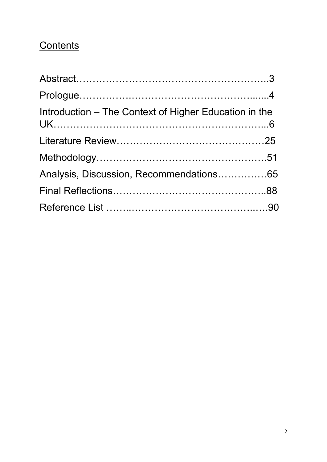# **Contents**

| Introduction - The Context of Higher Education in the |  |
|-------------------------------------------------------|--|
|                                                       |  |
|                                                       |  |
| Analysis, Discussion, Recommendations65               |  |
|                                                       |  |
|                                                       |  |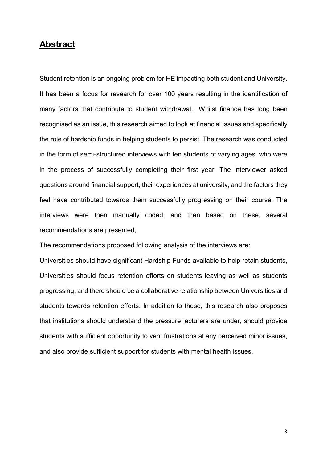# **Abstract**

Student retention is an ongoing problem for HE impacting both student and University. It has been a focus for research for over 100 years resulting in the identification of many factors that contribute to student withdrawal. Whilst finance has long been recognised as an issue, this research aimed to look at financial issues and specifically the role of hardship funds in helping students to persist. The research was conducted in the form of semi-structured interviews with ten students of varying ages, who were in the process of successfully completing their first year. The interviewer asked questions around financial support, their experiences at university, and the factors they feel have contributed towards them successfully progressing on their course. The interviews were then manually coded, and then based on these, several recommendations are presented,

The recommendations proposed following analysis of the interviews are:

Universities should have significant Hardship Funds available to help retain students, Universities should focus retention efforts on students leaving as well as students progressing, and there should be a collaborative relationship between Universities and students towards retention efforts. In addition to these, this research also proposes that institutions should understand the pressure lecturers are under, should provide students with sufficient opportunity to vent frustrations at any perceived minor issues, and also provide sufficient support for students with mental health issues.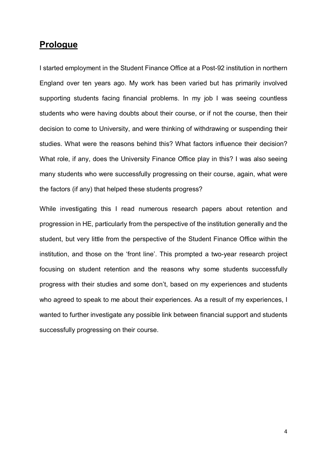# **Prologue**

I started employment in the Student Finance Office at a Post-92 institution in northern England over ten years ago. My work has been varied but has primarily involved supporting students facing financial problems. In my job I was seeing countless students who were having doubts about their course, or if not the course, then their decision to come to University, and were thinking of withdrawing or suspending their studies. What were the reasons behind this? What factors influence their decision? What role, if any, does the University Finance Office play in this? I was also seeing many students who were successfully progressing on their course, again, what were the factors (if any) that helped these students progress?

While investigating this I read numerous research papers about retention and progression in HE, particularly from the perspective of the institution generally and the student, but very little from the perspective of the Student Finance Office within the institution, and those on the 'front line'. This prompted a two-year research project focusing on student retention and the reasons why some students successfully progress with their studies and some don't, based on my experiences and students who agreed to speak to me about their experiences. As a result of my experiences, I wanted to further investigate any possible link between financial support and students successfully progressing on their course.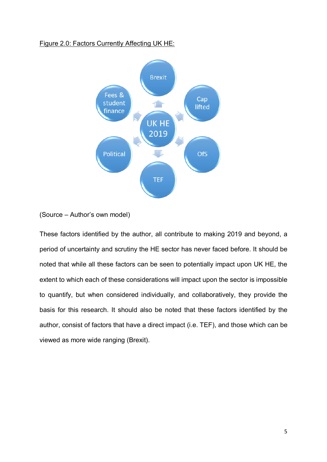#### Figure 2.0: Factors Currently Affecting UK HE:



(Source – Author's own model)

These factors identified by the author, all contribute to making 2019 and beyond, a period of uncertainty and scrutiny the HE sector has never faced before. It should be noted that while all these factors can be seen to potentially impact upon UK HE, the extent to which each of these considerations will impact upon the sector is impossible to quantify, but when considered individually, and collaboratively, they provide the basis for this research. It should also be noted that these factors identified by the author, consist of factors that have a direct impact (i.e. TEF), and those which can be viewed as more wide ranging (Brexit).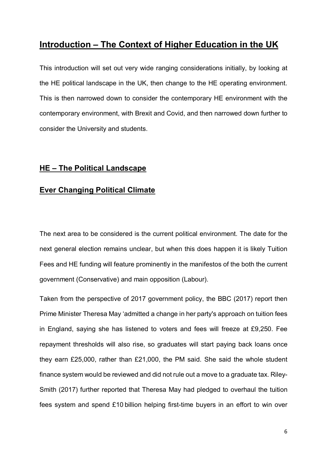# **Introduction – The Context of Higher Education in the UK**

This introduction will set out very wide ranging considerations initially, by looking at the HE political landscape in the UK, then change to the HE operating environment. This is then narrowed down to consider the contemporary HE environment with the contemporary environment, with Brexit and Covid, and then narrowed down further to consider the University and students.

# **HE – The Political Landscape**

# **Ever Changing Political Climate**

The next area to be considered is the current political environment. The date for the next general election remains unclear, but when this does happen it is likely Tuition Fees and HE funding will feature prominently in the manifestos of the both the current government (Conservative) and main opposition (Labour).

Taken from the perspective of 2017 government policy, the BBC (2017) report then Prime Minister Theresa May 'admitted a change in her party's approach on tuition fees in England, saying she has listened to voters and fees will freeze at £9,250. Fee repayment thresholds will also rise, so graduates will start paying back loans once they earn £25,000, rather than £21,000, the PM said. She said the whole student finance system would be reviewed and did not rule out a move to a graduate tax. Riley-Smith (2017) further reported that Theresa May had pledged to overhaul the tuition fees system and spend £10 billion helping first-time buyers in an effort to win over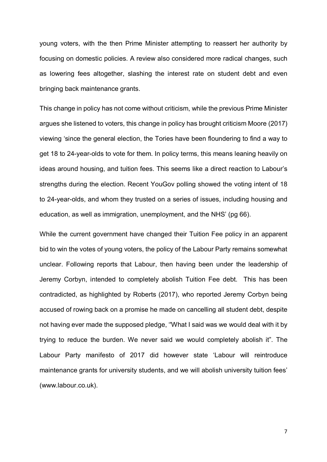young voters, with the then Prime Minister attempting to reassert her authority by focusing on domestic policies. A review also considered more radical changes, such as lowering fees altogether, slashing the interest rate on student debt and even bringing back maintenance grants.

This change in policy has not come without criticism, while the previous Prime Minister argues she listened to voters, this change in policy has brought criticism Moore (2017) viewing 'since the general election, the Tories have been floundering to find a way to get 18 to 24-year-olds to vote for them. In policy terms, this means leaning heavily on ideas around housing, and tuition fees. This seems like a direct reaction to Labour's strengths during the election. Recent YouGov polling showed the voting intent of 18 to 24-year-olds, and whom they trusted on a series of issues, including housing and education, as well as immigration, unemployment, and the NHS' (pg 66).

While the current government have changed their Tuition Fee policy in an apparent bid to win the votes of young voters, the policy of the Labour Party remains somewhat unclear. Following reports that Labour, then having been under the leadership of Jeremy Corbyn, intended to completely abolish Tuition Fee debt. This has been contradicted, as highlighted by Roberts (2017), who reported Jeremy Corbyn being accused of rowing back on a promise he made on cancelling all student debt, despite not having ever made the supposed pledge, ''What I said was we would deal with it by trying to reduce the burden. We never said we would completely abolish it". The Labour Party manifesto of 2017 did however state 'Labour will reintroduce maintenance grants for university students, and we will abolish university tuition fees' [\(www.labour.co.uk\)](http://www.labour.co.uk/).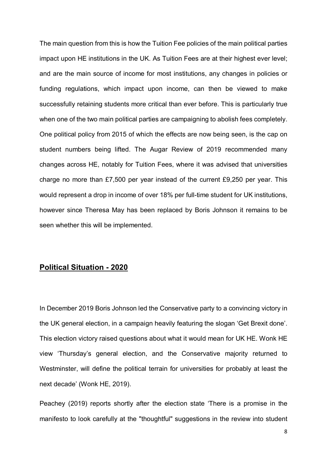The main question from this is how the Tuition Fee policies of the main political parties impact upon HE institutions in the UK. As Tuition Fees are at their highest ever level; and are the main source of income for most institutions, any changes in policies or funding regulations, which impact upon income, can then be viewed to make successfully retaining students more critical than ever before. This is particularly true when one of the two main political parties are campaigning to abolish fees completely. One political policy from 2015 of which the effects are now being seen, is the cap on student numbers being lifted. The Augar Review of 2019 recommended many changes across HE, notably for Tuition Fees, where it was advised that universities charge no more than £7,500 per year instead of the current £9,250 per year. This would represent a drop in income of over 18% per full-time student for UK institutions, however since Theresa May has been replaced by Boris Johnson it remains to be seen whether this will be implemented.

## **Political Situation - 2020**

In December 2019 Boris Johnson led the Conservative party to a convincing victory in the UK general election, in a campaign heavily featuring the slogan 'Get Brexit done'. This election victory raised questions about what it would mean for UK HE. Wonk HE view 'Thursday's general election, and the Conservative majority returned to Westminster, will define the political terrain for universities for probably at least the next decade' (Wonk HE, 2019).

Peachey (2019) reports shortly after the election state 'There is a promise in the manifesto to look carefully at the "thoughtful" suggestions in the review into student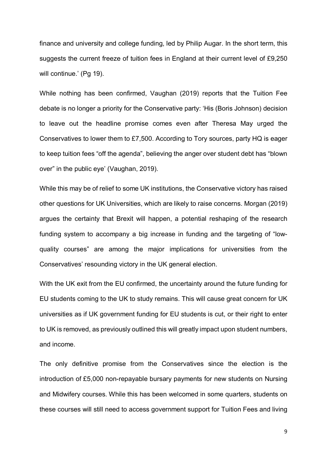finance and university and college funding, led by Philip Augar. In the short term, this suggests the current freeze of tuition fees in England at their current level of £9,250 will continue.' (Pg 19).

While nothing has been confirmed, Vaughan (2019) reports that the Tuition Fee debate is no longer a priority for the Conservative party: 'His (Boris Johnson) [decision](https://inews.co.uk/news/proposals-to-slash-university-tuition-fees-to-7500-dropped-by-ministers-636182)  [to leave out the headline promise comes even after Theresa May urged the](https://inews.co.uk/news/proposals-to-slash-university-tuition-fees-to-7500-dropped-by-ministers-636182)  [Conservatives](https://inews.co.uk/news/proposals-to-slash-university-tuition-fees-to-7500-dropped-by-ministers-636182) to lower them to £7,500. According to Tory sources, [party HQ is eager](https://inews.co.uk/news/politics/register-to-vote-general-election-2019-how-uk-snap-online-electoral-register-deadline-494388)  [to keep tuition fees "off the agenda",](https://inews.co.uk/news/politics/register-to-vote-general-election-2019-how-uk-snap-online-electoral-register-deadline-494388) believing the anger over student debt has "blown over" in the public eye' (Vaughan, 2019).

While this may be of relief to some UK institutions, the Conservative victory has raised other questions for UK Universities, which are likely to raise concerns. Morgan (2019) argues the certainty that Brexit will happen, a potential reshaping of the research funding system to accompany a big increase in funding and the targeting of "lowquality courses" are among the major implications for universities from the Conservatives' resounding victory in the UK general election.

With the UK exit from the EU confirmed, the uncertainty around the future funding for EU students coming to the UK to study remains. This will cause great concern for UK universities as if UK government funding for EU students is cut, or their right to enter to UK is removed, as previously outlined this will greatly impact upon student numbers, and income.

The only definitive promise from the Conservatives since the election is the introduction of £5,000 non-repayable bursary payments for new students on Nursing and Midwifery courses. While this has been welcomed in some quarters, students on these courses will still need to access government support for Tuition Fees and living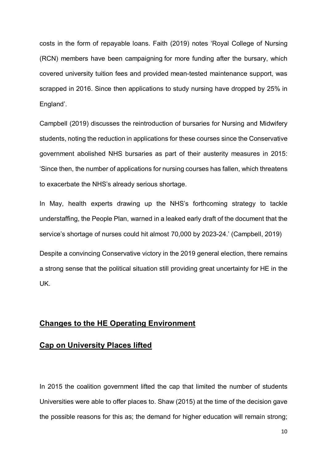costs in the form of repayable loans. Faith (2019) notes 'Royal College of Nursing (RCN) members have been campaigning for more funding after the bursary, which covered university tuition fees and provided mean-tested maintenance support, was scrapped in 2016. Since then applications to study nursing have dropped by 25% in England'.

Campbell (2019) discusses the reintroduction of bursaries for Nursing and Midwifery students, noting the reduction in applications for these courses since the Conservative government abolished NHS bursaries as part of their austerity measures in 2015: 'Since then, the number of applications for nursing courses has fallen, which threatens to exacerbate the NHS's already serious shortage.

In May, health experts drawing up the NHS's forthcoming strategy to tackle understaffing, the People Plan, [warned](https://www.theguardian.com/society/2019/may/26/nhs-short-of-70000-nurses-bursaries-abolished) in a leaked early draft of the document that the service's shortage of nurses could hit almost 70,000 by 2023-24.' (Campbell, 2019)

Despite a convincing Conservative victory in the 2019 general election, there remains a strong sense that the political situation still providing great uncertainty for HE in the UK.

#### **Changes to the HE Operating Environment**

## **Cap on University Places lifted**

In 2015 the coalition government lifted the cap that limited the number of students Universities were able to offer places to. Shaw (2015) at the time of the decision gave the possible reasons for this as; the demand for higher education will remain strong;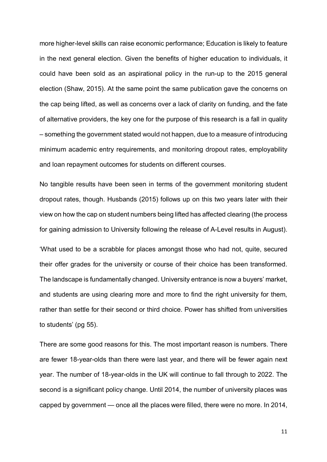more higher-level skills can raise economic performance; Education is likely to feature in the next general election. Given the benefits of higher education to individuals, it could have been sold as an aspirational policy in the run-up to the 2015 general election (Shaw, 2015). At the same point the same publication gave the concerns on the cap being lifted, as well as concerns over a lack of clarity on funding, and the fate of alternative providers, the key one for the purpose of this research is a fall in quality – something the government stated would not happen, due to a measure of introducing minimum academic entry requirements, and monitoring dropout rates, employability and loan repayment outcomes for students on different courses.

No tangible results have been seen in terms of the government monitoring student dropout rates, though. Husbands (2015) follows up on this two years later with their view on how the cap on student numbers being lifted has affected clearing (the process for gaining admission to University following the release of A-Level results in August).

'What used to be a scrabble for places amongst those who had not, quite, secured their offer grades for the university or course of their choice has been transformed. The landscape is fundamentally changed. University entrance is now a buyers' market, and students are using clearing more and more to find the right university for them, rather than settle for their second or third choice. Power has shifted from universities to students' (pg 55).

There are some good reasons for this. The most important reason is numbers. There are fewer 18-year-olds than there were last year, and there will be fewer again next year. The number of 18-year-olds in the UK will continue to fall through to 2022. The second is a significant policy change. Until 2014, the number of university places was capped by government — once all the places were filled, there were no more. In 2014,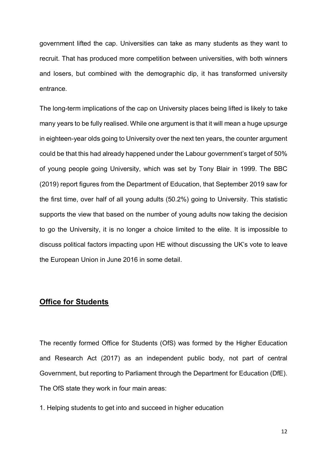government lifted the cap. Universities can take as many students as they want to recruit. That has produced more competition between universities, with both winners and losers, but combined with the demographic dip, it has transformed university entrance.

The long-term implications of the cap on University places being lifted is likely to take many years to be fully realised. While one argument is that it will mean a huge upsurge in eighteen-year olds going to University over the next ten years, the counter argument could be that this had already happened under the Labour government's target of 50% of young people going University, which was set by Tony Blair in 1999. The BBC (2019) report figures from the Department of Education, that September 2019 saw for the first time, over half of all young adults (50.2%) going to University. This statistic supports the view that based on the number of young adults now taking the decision to go the University, it is no longer a choice limited to the elite. It is impossible to discuss political factors impacting upon HE without discussing the UK's vote to leave the European Union in June 2016 in some detail.

## **Office for Students**

The recently formed Office for Students (OfS) was formed by the Higher Education and Research Act (2017) as an independent public body, not part of central Government, but reporting to Parliament through the Department for Education (DfE). The OfS state they work in four main areas:

1. Helping students to get into and succeed in higher education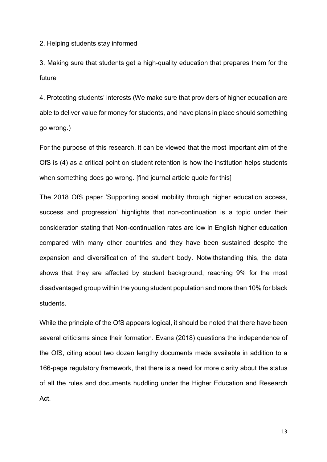2. Helping students stay informed

3. Making sure that students get a high-quality education that prepares them for the future

4. Protecting students' interests (We make sure that providers of higher education are able to deliver value for money for students, and have plans in place should something go wrong.)

For the purpose of this research, it can be viewed that the most important aim of the OfS is (4) as a critical point on student retention is how the institution helps students when something does go wrong. [find journal article quote for this]

The 2018 OfS paper 'Supporting social mobility through higher education access, success and progression' highlights that non-continuation is a topic under their consideration stating that Non-continuation rates are low in English higher education compared with many other countries and they have been sustained despite the expansion and diversification of the student body. Notwithstanding this, the data shows that they are affected by student background, reaching 9% for the most disadvantaged group within the young student population and more than 10% for black students.

While the principle of the OfS appears logical, it should be noted that there have been several criticisms since their formation. Evans (2018) questions the independence of the OfS, citing about two dozen lengthy documents made available in addition to a 166-page regulatory framework, that there is a need for more clarity about the status of all the rules and documents huddling under the Higher Education and Research Act.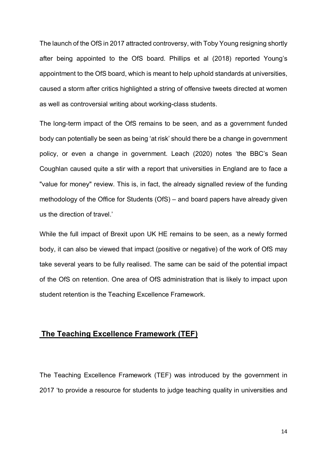The launch of the OfS in 2017 attracted controversy, with Toby Young resigning shortly after being appointed to the OfS board. Phillips et al (2018) reported Young's appointment to the OfS board, which is meant to help uphold standards at universities, caused a storm after critics highlighted a string of offensive tweets directed at women as well as controversial writing about working-class students.

The long-term impact of the OfS remains to be seen, and as a government funded body can potentially be seen as being 'at risk' should there be a change in government policy, or even a change in government. Leach (2020) notes 'the BBC's Sean Coughlan caused quite a stir with a report that universities in England are to face a "value for money" review. This is, in fact, the already signalled review of the funding methodology of the Office for Students (OfS) – and board papers have already given us the direction of travel.'

While the full impact of Brexit upon UK HE remains to be seen, as a newly formed body, it can also be viewed that impact (positive or negative) of the work of OfS may take several years to be fully realised. The same can be said of the potential impact of the OfS on retention. One area of OfS administration that is likely to impact upon student retention is the Teaching Excellence Framework.

## **The Teaching Excellence Framework (TEF)**

The Teaching Excellence Framework (TEF) was introduced by the government in 2017 'to provide a resource for students to judge teaching quality in universities and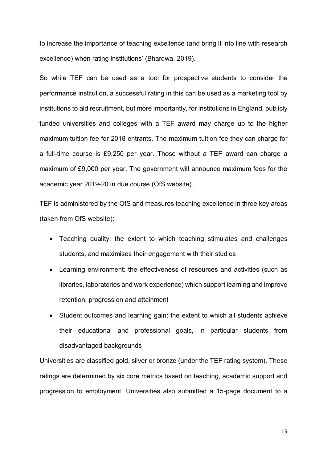to increase the importance of teaching excellence (and bring it into line with research excellence) when rating institutions' (Bhardwa, 2019).

So while TEF can be used as a tool for prospective students to consider the performance institution, a successful rating in this can be used as a marketing tool by institutions to aid recruitment, but more importantly, for institutions in England, publicly funded universities and colleges with a TEF award may charge up to the higher maximum tuition fee for 2018 entrants. The maximum tuition fee they can charge for a full-time course is £9,250 per year. Those without a TEF award can charge a maximum of £9,000 per year. The government will announce maximum fees for the academic year 2019-20 in due course (OfS website).

TEF is administered by the OfS and measures teaching excellence in three key areas (taken from OfS website):

- Teaching quality: the extent to which teaching stimulates and challenges students, and maximises their engagement with their studies
- Learning environment: the effectiveness of resources and activities (such as libraries, laboratories and work experience) which support learning and improve retention, progression and attainment
- Student outcomes and learning gain: the extent to which all students achieve their educational and professional goals, in particular students from disadvantaged backgrounds

Universities are classified gold, silver or bronze (under the TEF rating system). These ratings are determined by six core metrics based on teaching, academic support and progression to employment. Universities also submitted a 15-page document to a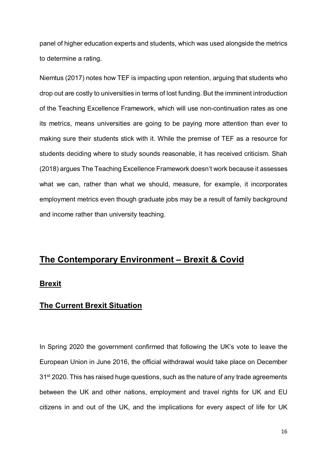panel of higher education experts and students, which was used alongside the metrics to determine a rating.

Niemtus (2017) notes how TEF is impacting upon retention, arguing that students who drop out are costly to universities in terms of lost funding. But the imminent introduction of the Teaching Excellence Framework, which will use non-continuation rates as one its metrics, means universities are going to be paying more attention than ever to making sure their students stick with it. While the premise of TEF as a resource for students deciding where to study sounds reasonable, it has received criticism. Shah (2018) argues The Teaching Excellence Framework doesn't work because it assesses what we can, rather than what we should, measure, for example, it incorporates employment metrics even though graduate jobs may be a result of family background and income rather than university teaching.

# **The Contemporary Environment – Brexit & Covid**

#### **Brexit**

# **The Current Brexit Situation**

In Spring 2020 the government confirmed that following the UK's vote to leave the European Union in June 2016, the official withdrawal would take place on December  $31<sup>st</sup>$  2020. This has raised huge questions, such as the nature of any trade agreements between the UK and other nations, employment and travel rights for UK and EU citizens in and out of the UK, and the implications for every aspect of life for UK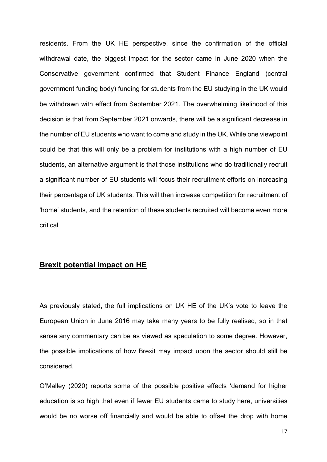residents. From the UK HE perspective, since the confirmation of the official withdrawal date, the biggest impact for the sector came in June 2020 when the Conservative government confirmed that Student Finance England (central government funding body) funding for students from the EU studying in the UK would be withdrawn with effect from September 2021. The overwhelming likelihood of this decision is that from September 2021 onwards, there will be a significant decrease in the number of EU students who want to come and study in the UK. While one viewpoint could be that this will only be a problem for institutions with a high number of EU students, an alternative argument is that those institutions who do traditionally recruit a significant number of EU students will focus their recruitment efforts on increasing their percentage of UK students. This will then increase competition for recruitment of 'home' students, and the retention of these students recruited will become even more critical

## **Brexit potential impact on HE**

As previously stated, the full implications on UK HE of the UK's vote to leave the European Union in June 2016 may take many years to be fully realised, so in that sense any commentary can be as viewed as speculation to some degree. However, the possible implications of how Brexit may impact upon the sector should still be considered.

O'Malley (2020) reports some of the possible positive effects 'demand for higher education is so high that even if fewer EU students came to study here, universities would be no worse off financially and would be able to offset the drop with home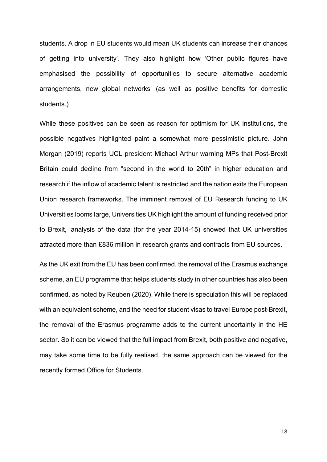students. A drop in EU students would mean UK students can increase their chances of getting into university'. They also highlight how 'Other public figures have emphasised the possibility of opportunities to secure alternative academic arrangements, new global networks' (as well as positive benefits for domestic students.)

While these positives can be seen as reason for optimism for UK institutions, the possible negatives highlighted paint a somewhat more pessimistic picture. John Morgan (2019) reports UCL president Michael Arthur warning MPs that Post-Brexit Britain could decline from "second in the world to 20th" in higher education and research if the inflow of academic talent is restricted and the nation exits the European Union research frameworks. The imminent removal of EU Research funding to UK Universities looms large, Universities UK highlight the amount of funding received prior to Brexit, 'analysis of the data (for the year 2014-15) showed that UK universities attracted more than £836 million in research grants and contracts from EU sources.

As the UK exit from the EU has been confirmed, the removal of the Erasmus exchange scheme, an EU programme that helps students study in other countries has also been confirmed, as noted by Reuben (2020). While there is speculation this will be replaced with an equivalent scheme, and the need for student visas to travel Europe post-Brexit, the removal of the Erasmus programme adds to the current uncertainty in the HE sector. So it can be viewed that the full impact from Brexit, both positive and negative, may take some time to be fully realised, the same approach can be viewed for the recently formed Office for Students.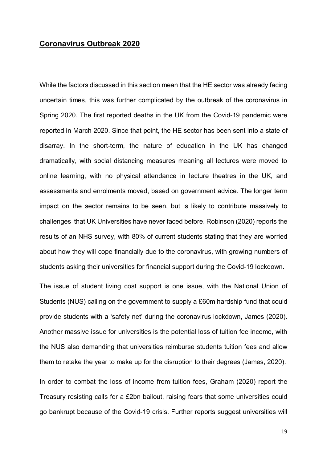# **Coronavirus Outbreak 2020**

While the factors discussed in this section mean that the HE sector was already facing uncertain times, this was further complicated by the outbreak of the coronavirus in Spring 2020. The first reported deaths in the UK from the Covid-19 pandemic were reported in March 2020. Since that point, the HE sector has been sent into a state of disarray. In the short-term, the nature of education in the UK has changed dramatically, with social distancing measures meaning all lectures were moved to online learning, with no physical attendance in lecture theatres in the UK, and assessments and enrolments moved, based on government advice. The longer term impact on the sector remains to be seen, but is likely to contribute massively to challenges that UK Universities have never faced before. Robinson (2020) reports the results of an NHS survey, with 80% of current students stating that they are worried about how they will cope financially due to the coronavirus, with growing numbers of students asking their universities for financial support during the Covid-19 lockdown.

The issue of student living cost support is one issue, with the National Union of Students (NUS) calling on the government to supply a £60m hardship fund that could provide students with a 'safety net' during the coronavirus lockdown, James (2020). Another massive issue for universities is the potential loss of tuition fee income, with the NUS also demanding that universities reimburse students tuition fees and allow them to retake the year to make up for the disruption to their degrees (James, 2020).

In order to combat the loss of income from tuition fees, Graham (2020) report the Treasury resisting calls for a £2bn bailout, raising fears that some universities could go bankrupt because of the Covid-19 crisis. Further reports suggest universities will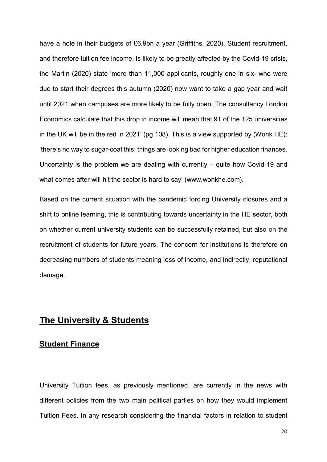have a hole in their budgets of £6.9bn a year (Griffiths, 2020). Student recruitment, and therefore tuition fee income, is likely to be greatly affected by the Covid-19 crisis, the Martin (2020) state 'more than 11,000 applicants, roughly one in six- who were due to start their degrees this autumn (2020) now want to take a gap year and wait until 2021 when campuses are more likely to be fully open. The consultancy London Economics calculate that this drop in income will mean that 91 of the 125 universities in the UK will be in the red in 2021' (pg 108). This is a view supported by (Wonk HE): 'there's no way to sugar-coat this; things are looking bad for higher education finances. Uncertainty is the problem we are dealing with currently – quite how Covid-19 and what comes after will hit the sector is hard to say' (www.wonkhe.com).

Based on the current situation with the pandemic forcing University closures and a shift to online learning, this is contributing towards uncertainty in the HE sector, both on whether current university students can be successfully retained, but also on the recruitment of students for future years. The concern for institutions is therefore on decreasing numbers of students meaning loss of income, and indirectly, reputational damage.

# **The University & Students**

#### **Student Finance**

University Tuition fees, as previously mentioned, are currently in the news with different policies from the two main political parties on how they would implement Tuition Fees. In any research considering the financial factors in relation to student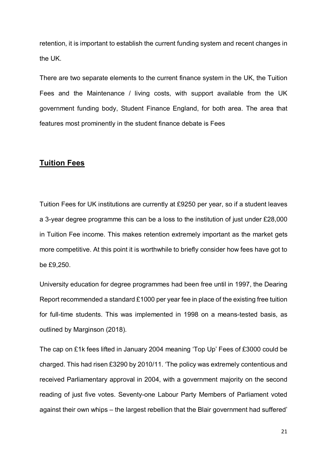retention, it is important to establish the current funding system and recent changes in the UK.

There are two separate elements to the current finance system in the UK, the Tuition Fees and the Maintenance / living costs, with support available from the UK government funding body, Student Finance England, for both area. The area that features most prominently in the student finance debate is Fees

## **Tuition Fees**

Tuition Fees for UK institutions are currently at £9250 per year, so if a student leaves a 3-year degree programme this can be a loss to the institution of just under £28,000 in Tuition Fee income. This makes retention extremely important as the market gets more competitive. At this point it is worthwhile to briefly consider how fees have got to be £9,250.

University education for degree programmes had been free until in 1997, the Dearing Report recommended a standard £1000 per year fee in place of the existing free tuition for full-time students. This was implemented in 1998 on a means-tested basis, as outlined by Marginson (2018).

The cap on £1k fees lifted in January 2004 meaning 'Top Up' Fees of £3000 could be charged. This had risen £3290 by 2010/11. 'The policy was extremely contentious and received Parliamentary approval in 2004, with a government majority on the second reading of just five votes. Seventy-one Labour Party Members of Parliament voted against their own whips – the largest rebellion that the Blair government had suffered'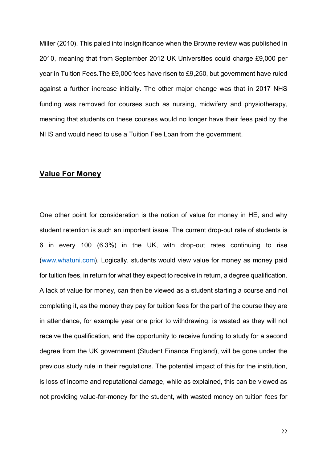Miller (2010). This paled into insignificance when the Browne review was published in 2010, meaning that from September 2012 UK Universities could charge £9,000 per year in Tuition Fees.The £9,000 fees have risen to £9,250, but government have ruled against a further increase initially. The other major change was that in 2017 NHS funding was removed for courses such as nursing, midwifery and physiotherapy, meaning that students on these courses would no longer have their fees paid by the NHS and would need to use a Tuition Fee Loan from the government.

#### **Value For Money**

One other point for consideration is the notion of value for money in HE, and why student retention is such an important issue. The current drop-out rate of students is 6 in every 100 (6.3%) in the UK, with drop-out rates continuing to rise [\(www.whatuni.com\)](http://www.whatuni.com/). Logically, students would view value for money as money paid for tuition fees, in return for what they expect to receive in return, a degree qualification. A lack of value for money, can then be viewed as a student starting a course and not completing it, as the money they pay for tuition fees for the part of the course they are in attendance, for example year one prior to withdrawing, is wasted as they will not receive the qualification, and the opportunity to receive funding to study for a second degree from the UK government (Student Finance England), will be gone under the previous study rule in their regulations. The potential impact of this for the institution, is loss of income and reputational damage, while as explained, this can be viewed as not providing value-for-money for the student, with wasted money on tuition fees for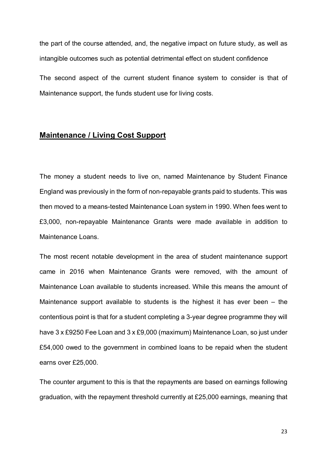the part of the course attended, and, the negative impact on future study, as well as intangible outcomes such as potential detrimental effect on student confidence The second aspect of the current student finance system to consider is that of Maintenance support, the funds student use for living costs.

# **Maintenance / Living Cost Support**

The money a student needs to live on, named Maintenance by Student Finance England was previously in the form of non-repayable grants paid to students. This was then moved to a means-tested Maintenance Loan system in 1990. When fees went to £3,000, non-repayable Maintenance Grants were made available in addition to Maintenance Loans.

The most recent notable development in the area of student maintenance support came in 2016 when Maintenance Grants were removed, with the amount of Maintenance Loan available to students increased. While this means the amount of Maintenance support available to students is the highest it has ever been – the contentious point is that for a student completing a 3-year degree programme they will have 3 x £9250 Fee Loan and 3 x £9,000 (maximum) Maintenance Loan, so just under £54,000 owed to the government in combined loans to be repaid when the student earns over £25,000.

The counter argument to this is that the repayments are based on earnings following graduation, with the repayment threshold currently at £25,000 earnings, meaning that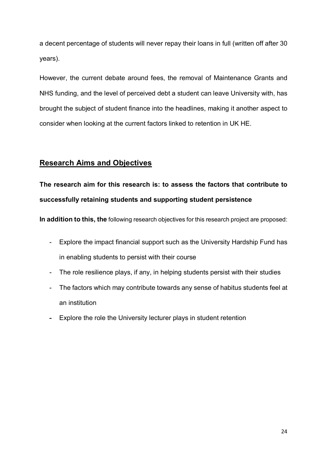a decent percentage of students will never repay their loans in full (written off after 30 years).

However, the current debate around fees, the removal of Maintenance Grants and NHS funding, and the level of perceived debt a student can leave University with, has brought the subject of student finance into the headlines, making it another aspect to consider when looking at the current factors linked to retention in UK HE.

# **Research Aims and Objectives**

**The research aim for this research is: to assess the factors that contribute to successfully retaining students and supporting student persistence**

**In addition to this, the** following research objectives for this research project are proposed:

- Explore the impact financial support such as the University Hardship Fund has in enabling students to persist with their course
- The role resilience plays, if any, in helping students persist with their studies
- The factors which may contribute towards any sense of habitus students feel at an institution
- Explore the role the University lecturer plays in student retention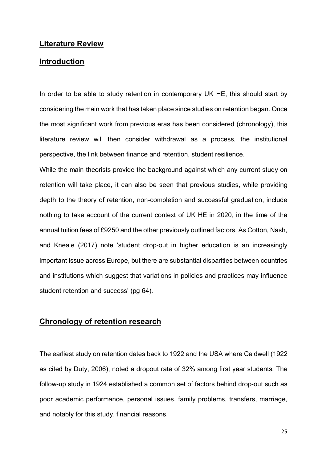#### **Literature Review**

## **Introduction**

In order to be able to study retention in contemporary UK HE, this should start by considering the main work that has taken place since studies on retention began. Once the most significant work from previous eras has been considered (chronology), this literature review will then consider withdrawal as a process, the institutional perspective, the link between finance and retention, student resilience.

While the main theorists provide the background against which any current study on retention will take place, it can also be seen that previous studies, while providing depth to the theory of retention, non-completion and successful graduation, include nothing to take account of the current context of UK HE in 2020, in the time of the annual tuition fees of £9250 and the other previously outlined factors. As Cotton, Nash, and Kneale (2017) note 'student drop-out in higher education is an increasingly important issue across Europe, but there are substantial disparities between countries and institutions which suggest that variations in policies and practices may influence student retention and success' (pg 64).

## **Chronology of retention research**

The earliest study on retention dates back to 1922 and the USA where Caldwell (1922 as cited by Duty, 2006), noted a dropout rate of 32% among first year students. The follow-up study in 1924 established a common set of factors behind drop-out such as poor academic performance, personal issues, family problems, transfers, marriage, and notably for this study, financial reasons.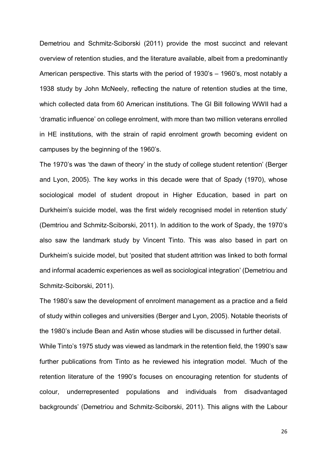Demetriou and Schmitz-Sciborski (2011) provide the most succinct and relevant overview of retention studies, and the literature available, albeit from a predominantly American perspective. This starts with the period of 1930's – 1960's, most notably a 1938 study by John McNeely, reflecting the nature of retention studies at the time, which collected data from 60 American institutions. The GI Bill following WWII had a 'dramatic influence' on college enrolment, with more than two million veterans enrolled in HE institutions, with the strain of rapid enrolment growth becoming evident on campuses by the beginning of the 1960's.

The 1970's was 'the dawn of theory' in the study of college student retention' (Berger and Lyon, 2005). The key works in this decade were that of Spady (1970), whose sociological model of student dropout in Higher Education, based in part on Durkheim's suicide model, was the first widely recognised model in retention study' (Demtriou and Schmitz-Sciborski, 2011). In addition to the work of Spady, the 1970's also saw the landmark study by Vincent Tinto. This was also based in part on Durkheim's suicide model, but 'posited that student attrition was linked to both formal and informal academic experiences as well as sociological integration' (Demetriou and Schmitz-Sciborski, 2011).

The 1980's saw the development of enrolment management as a practice and a field of study within colleges and universities (Berger and Lyon, 2005). Notable theorists of the 1980's include Bean and Astin whose studies will be discussed in further detail.

While Tinto's 1975 study was viewed as landmark in the retention field, the 1990's saw further publications from Tinto as he reviewed his integration model. 'Much of the retention literature of the 1990's focuses on encouraging retention for students of colour, underrepresented populations and individuals from disadvantaged backgrounds' (Demetriou and Schmitz-Sciborski, 2011). This aligns with the Labour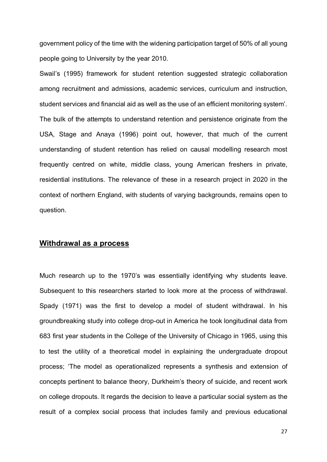government policy of the time with the widening participation target of 50% of all young people going to University by the year 2010.

Swail's (1995) framework for student retention suggested strategic collaboration among recruitment and admissions, academic services, curriculum and instruction, student services and financial aid as well as the use of an efficient monitoring system'. The bulk of the attempts to understand retention and persistence originate from the USA, Stage and Anaya (1996) point out, however, that much of the current understanding of student retention has relied on causal modelling research most frequently centred on white, middle class, young American freshers in private, residential institutions. The relevance of these in a research project in 2020 in the context of northern England, with students of varying backgrounds, remains open to question.

#### **Withdrawal as a process**

Much research up to the 1970's was essentially identifying why students leave. Subsequent to this researchers started to look more at the process of withdrawal. Spady (1971) was the first to develop a model of student withdrawal. In his groundbreaking study into college drop-out in America he took longitudinal data from 683 first year students in the College of the University of Chicago in 1965, using this to test the utility of a theoretical model in explaining the undergraduate dropout process; 'The model as operationalized represents a synthesis and extension of concepts pertinent to balance theory, Durkheim's theory of suicide, and recent work on college dropouts. It regards the decision to leave a particular social system as the result of a complex social process that includes family and previous educational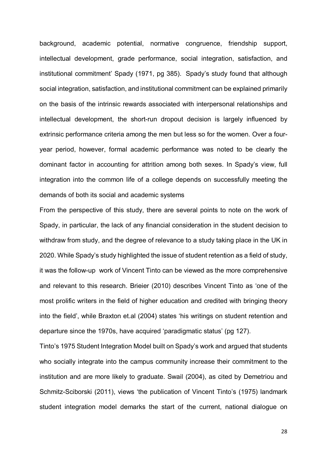background, academic potential, normative congruence, friendship support, intellectual development, grade performance, social integration, satisfaction, and institutional commitment' Spady (1971, pg 385). Spady's study found that although social integration, satisfaction, and institutional commitment can be explained primarily on the basis of the intrinsic rewards associated with interpersonal relationships and intellectual development, the short-run dropout decision is largely influenced by extrinsic performance criteria among the men but less so for the women. Over a fouryear period, however, formal academic performance was noted to be clearly the dominant factor in accounting for attrition among both sexes. In Spady's view, full integration into the common life of a college depends on successfully meeting the demands of both its social and academic systems

From the perspective of this study, there are several points to note on the work of Spady, in particular, the lack of any financial consideration in the student decision to withdraw from study, and the degree of relevance to a study taking place in the UK in 2020. While Spady's study highlighted the issue of student retention as a field of study, it was the follow-up work of Vincent Tinto can be viewed as the more comprehensive and relevant to this research. Brieier (2010) describes Vincent Tinto as 'one of the most prolific writers in the field of higher education and credited with bringing theory into the field', while Braxton et.al (2004) states 'his writings on student retention and departure since the 1970s, have acquired 'paradigmatic status' (pg 127).

Tinto's 1975 Student Integration Model built on Spady's work and argued that students who socially integrate into the campus community increase their commitment to the institution and are more likely to graduate. Swail (2004), as cited by Demetriou and Schmitz-Sciborski (2011), views 'the publication of Vincent Tinto's (1975) landmark student integration model demarks the start of the current, national dialogue on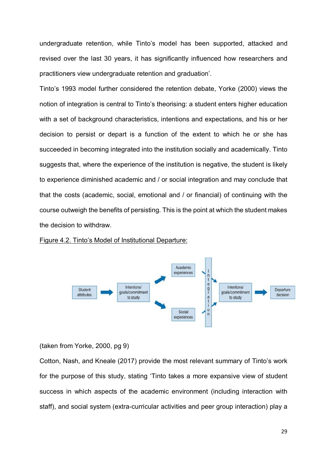undergraduate retention, while Tinto's model has been supported, attacked and revised over the last 30 years, it has significantly influenced how researchers and practitioners view undergraduate retention and graduation'.

Tinto's 1993 model further considered the retention debate, Yorke (2000) views the notion of integration is central to Tinto's theorising: a student enters higher education with a set of background characteristics, intentions and expectations, and his or her decision to persist or depart is a function of the extent to which he or she has succeeded in becoming integrated into the institution socially and academically. Tinto suggests that, where the experience of the institution is negative, the student is likely to experience diminished academic and / or social integration and may conclude that that the costs (academic, social, emotional and / or financial) of continuing with the course outweigh the benefits of persisting. This is the point at which the student makes the decision to withdraw.

Figure 4.2. Tinto's Model of Institutional Departure:



(taken from Yorke, 2000, pg 9)

Cotton, Nash, and Kneale (2017) provide the most relevant summary of Tinto's work for the purpose of this study, stating 'Tinto takes a more expansive view of student success in which aspects of the academic environment (including interaction with staff), and social system (extra-curricular activities and peer group interaction) play a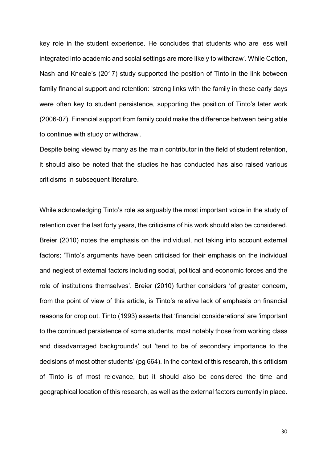key role in the student experience. He concludes that students who are less well integrated into academic and social settings are more likely to withdraw'. While Cotton, Nash and Kneale's (2017) study supported the position of Tinto in the link between family financial support and retention: 'strong links with the family in these early days were often key to student persistence, supporting the position of Tinto's later work (2006-07). Financial support from family could make the difference between being able to continue with study or withdraw'.

Despite being viewed by many as the main contributor in the field of student retention, it should also be noted that the studies he has conducted has also raised various criticisms in subsequent literature.

While acknowledging Tinto's role as arguably the most important voice in the study of retention over the last forty years, the criticisms of his work should also be considered. Breier (2010) notes the emphasis on the individual, not taking into account external factors; 'Tinto's arguments have been criticised for their emphasis on the individual and neglect of external factors including social, political and economic forces and the role of institutions themselves'. Breier (2010) further considers 'of greater concern, from the point of view of this article, is Tinto's relative lack of emphasis on financial reasons for drop out. Tinto (1993) asserts that 'financial considerations' are 'important to the continued persistence of some students, most notably those from working class and disadvantaged backgrounds' but 'tend to be of secondary importance to the decisions of most other students' (pg 664). In the context of this research, this criticism of Tinto is of most relevance, but it should also be considered the time and geographical location of this research, as well as the external factors currently in place.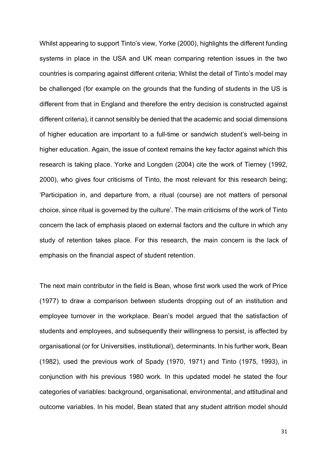Whilst appearing to support Tinto's view, Yorke (2000), highlights the different funding systems in place in the USA and UK mean comparing retention issues in the two countries is comparing against different criteria; Whilst the detail of Tinto's model may be challenged (for example on the grounds that the funding of students in the US is different from that in England and therefore the entry decision is constructed against different criteria), it cannot sensibly be denied that the academic and social dimensions of higher education are important to a full-time or sandwich student's well-being in higher education. Again, the issue of context remains the key factor against which this research is taking place. Yorke and Longden (2004) cite the work of Tierney (1992, 2000), who gives four criticisms of Tinto, the most relevant for this research being; 'Participation in, and departure from, a ritual (course) are not matters of personal choice, since ritual is governed by the culture'. The main criticisms of the work of Tinto concern the lack of emphasis placed on external factors and the culture in which any study of retention takes place. For this research, the main concern is the lack of emphasis on the financial aspect of student retention.

The next main contributor in the field is Bean, whose first work used the work of Price (1977) to draw a comparison between students dropping out of an institution and employee turnover in the workplace. Bean's model argued that the satisfaction of students and employees, and subsequently their willingness to persist, is affected by organisational (or for Universities, institutional), determinants. In his further work, Bean (1982), used the previous work of Spady (1970, 1971) and Tinto (1975, 1993), in conjunction with his previous 1980 work. In this updated model he stated the four categories of variables: background, organisational, environmental, and attitudinal and outcome variables. In his model, Bean stated that any student attrition model should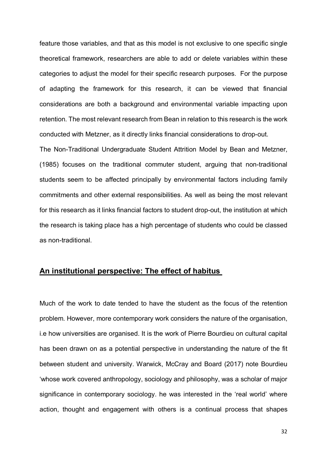feature those variables, and that as this model is not exclusive to one specific single theoretical framework, researchers are able to add or delete variables within these categories to adjust the model for their specific research purposes. For the purpose of adapting the framework for this research, it can be viewed that financial considerations are both a background and environmental variable impacting upon retention. The most relevant research from Bean in relation to this research is the work conducted with Metzner, as it directly links financial considerations to drop-out.

The Non-Traditional Undergraduate Student Attrition Model by Bean and Metzner, (1985) focuses on the traditional commuter student, arguing that non-traditional students seem to be affected principally by environmental factors including family commitments and other external responsibilities. As well as being the most relevant for this research as it links financial factors to student drop-out, the institution at which the research is taking place has a high percentage of students who could be classed as non-traditional.

## **An institutional perspective: The effect of habitus**

Much of the work to date tended to have the student as the focus of the retention problem. However, more contemporary work considers the nature of the organisation, i.e how universities are organised. It is the work of Pierre Bourdieu on cultural capital has been drawn on as a potential perspective in understanding the nature of the fit between student and university. Warwick, McCray and Board (2017) note Bourdieu 'whose work covered anthropology, sociology and philosophy, was a scholar of major significance in contemporary sociology. he was interested in the 'real world' where action, thought and engagement with others is a continual process that shapes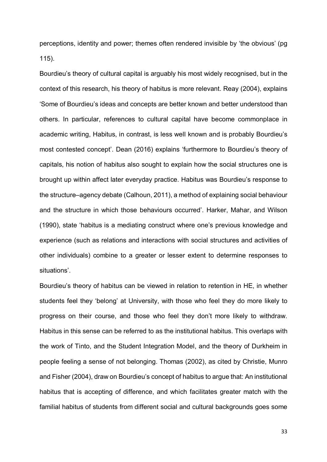perceptions, identity and power; themes often rendered invisible by 'the obvious' (pg 115).

Bourdieu's theory of cultural capital is arguably his most widely recognised, but in the context of this research, his theory of habitus is more relevant. Reay (2004), explains 'Some of Bourdieu's ideas and concepts are better known and better understood than others. In particular, references to cultural capital have become commonplace in academic writing, Habitus, in contrast, is less well known and is probably Bourdieu's most contested concept'. Dean (2016) explains 'furthermore to Bourdieu's theory of capitals, his notion of habitus also sought to explain how the social structures one is brought up within affect later everyday practice. Habitus was Bourdieu's response to the structure–agency debate (Calhoun, 2011), a method of explaining social behaviour and the structure in which those behaviours occurred'. Harker, Mahar, and Wilson (1990), state 'habitus is a mediating construct where one's previous knowledge and experience (such as relations and interactions with social structures and activities of other individuals) combine to a greater or lesser extent to determine responses to situations'.

Bourdieu's theory of habitus can be viewed in relation to retention in HE, in whether students feel they 'belong' at University, with those who feel they do more likely to progress on their course, and those who feel they don't more likely to withdraw. Habitus in this sense can be referred to as the institutional habitus. This overlaps with the work of Tinto, and the Student Integration Model, and the theory of Durkheim in people feeling a sense of not belonging. Thomas (2002), as cited by Christie, Munro and Fisher (2004), draw on Bourdieu's concept of habitus to argue that: An institutional habitus that is accepting of difference, and which facilitates greater match with the familial habitus of students from different social and cultural backgrounds goes some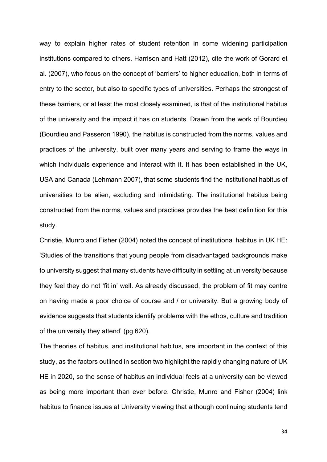way to explain higher rates of student retention in some widening participation institutions compared to others. Harrison and Hatt (2012), cite the work of Gorard et al. (2007), who focus on the concept of 'barriers' to higher education, both in terms of entry to the sector, but also to specific types of universities. Perhaps the strongest of these barriers, or at least the most closely examined, is that of the institutional habitus of the university and the impact it has on students. Drawn from the work of Bourdieu (Bourdieu and Passeron 1990), the habitus is constructed from the norms, values and practices of the university, built over many years and serving to frame the ways in which individuals experience and interact with it. It has been established in the UK, USA and Canada (Lehmann 2007), that some students find the institutional habitus of universities to be alien, excluding and intimidating. The institutional habitus being constructed from the norms, values and practices provides the best definition for this study.

Christie, Munro and Fisher (2004) noted the concept of institutional habitus in UK HE: 'Studies of the transitions that young people from disadvantaged backgrounds make to university suggest that many students have difficulty in settling at university because they feel they do not 'fit in' well. As already discussed, the problem of fit may centre on having made a poor choice of course and / or university. But a growing body of evidence suggests that students identify problems with the ethos, culture and tradition of the university they attend' (pg 620).

The theories of habitus, and institutional habitus, are important in the context of this study, as the factors outlined in section two highlight the rapidly changing nature of UK HE in 2020, so the sense of habitus an individual feels at a university can be viewed as being more important than ever before. Christie, Munro and Fisher (2004) link habitus to finance issues at University viewing that although continuing students tend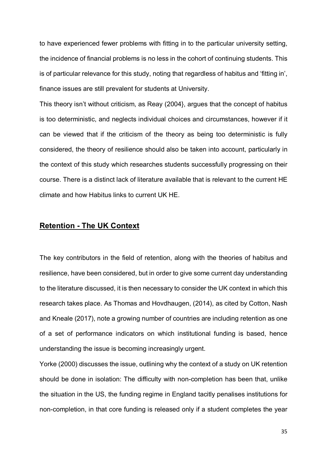to have experienced fewer problems with fitting in to the particular university setting, the incidence of financial problems is no less in the cohort of continuing students. This is of particular relevance for this study, noting that regardless of habitus and 'fitting in', finance issues are still prevalent for students at University.

This theory isn't without criticism, as Reay (2004}, argues that the concept of habitus is too deterministic, and neglects individual choices and circumstances, however if it can be viewed that if the criticism of the theory as being too deterministic is fully considered, the theory of resilience should also be taken into account, particularly in the context of this study which researches students successfully progressing on their course. There is a distinct lack of literature available that is relevant to the current HE climate and how Habitus links to current UK HE.

# **Retention - The UK Context**

The key contributors in the field of retention, along with the theories of habitus and resilience, have been considered, but in order to give some current day understanding to the literature discussed, it is then necessary to consider the UK context in which this research takes place. As Thomas and Hovdhaugen, (2014), as cited by Cotton, Nash and Kneale (2017), note a growing number of countries are including retention as one of a set of performance indicators on which institutional funding is based, hence understanding the issue is becoming increasingly urgent.

Yorke (2000) discusses the issue, outlining why the context of a study on UK retention should be done in isolation: The difficulty with non-completion has been that, unlike the situation in the US, the funding regime in England tacitly penalises institutions for non-completion, in that core funding is released only if a student completes the year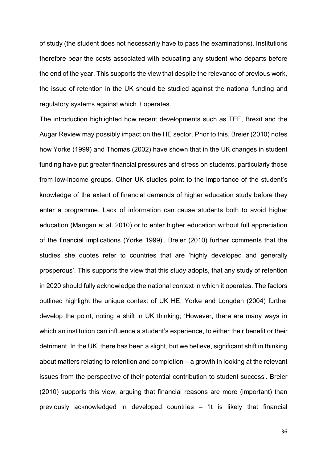of study (the student does not necessarily have to pass the examinations). Institutions therefore bear the costs associated with educating any student who departs before the end of the year. This supports the view that despite the relevance of previous work, the issue of retention in the UK should be studied against the national funding and regulatory systems against which it operates.

The introduction highlighted how recent developments such as TEF, Brexit and the Augar Review may possibly impact on the HE sector. Prior to this, Breier (2010) notes how Yorke (1999) and Thomas (2002) have shown that in the UK changes in student funding have put greater financial pressures and stress on students, particularly those from low-income groups. Other UK studies point to the importance of the student's knowledge of the extent of financial demands of higher education study before they enter a programme. Lack of information can cause students both to avoid higher education (Mangan et al. 2010) or to enter higher education without full appreciation of the financial implications (Yorke 1999)'. Breier (2010) further comments that the studies she quotes refer to countries that are 'highly developed and generally prosperous'. This supports the view that this study adopts, that any study of retention in 2020 should fully acknowledge the national context in which it operates. The factors outlined highlight the unique context of UK HE, Yorke and Longden (2004) further develop the point, noting a shift in UK thinking; 'However, there are many ways in which an institution can influence a student's experience, to either their benefit or their detriment. In the UK, there has been a slight, but we believe, significant shift in thinking about matters relating to retention and completion – a growth in looking at the relevant issues from the perspective of their potential contribution to student success'. Breier (2010) supports this view, arguing that financial reasons are more (important) than previously acknowledged in developed countries – 'It is likely that financial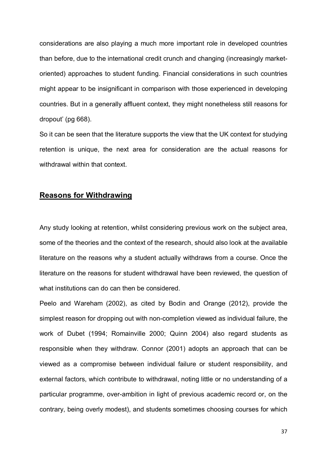considerations are also playing a much more important role in developed countries than before, due to the international credit crunch and changing (increasingly marketoriented) approaches to student funding. Financial considerations in such countries might appear to be insignificant in comparison with those experienced in developing countries. But in a generally affluent context, they might nonetheless still reasons for dropout' (pg 668).

So it can be seen that the literature supports the view that the UK context for studying retention is unique, the next area for consideration are the actual reasons for withdrawal within that context.

#### **Reasons for Withdrawing**

Any study looking at retention, whilst considering previous work on the subject area, some of the theories and the context of the research, should also look at the available literature on the reasons why a student actually withdraws from a course. Once the literature on the reasons for student withdrawal have been reviewed, the question of what institutions can do can then be considered.

Peelo and Wareham (2002), as cited by Bodin and Orange (2012), provide the simplest reason for dropping out with non-completion viewed as individual failure, the work of Dubet (1994; Romainville 2000; Quinn 2004) also regard students as responsible when they withdraw. Connor (2001) adopts an approach that can be viewed as a compromise between individual failure or student responsibility, and external factors, which contribute to withdrawal, noting little or no understanding of a particular programme, over-ambition in light of previous academic record or, on the contrary, being overly modest), and students sometimes choosing courses for which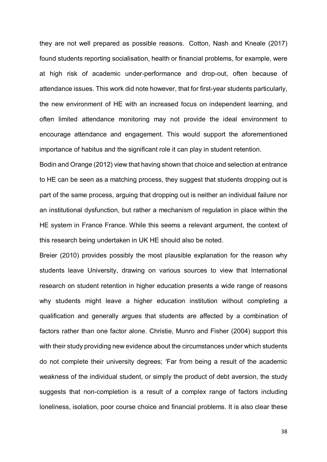they are not well prepared as possible reasons. Cotton, Nash and Kneale (2017) found students reporting socialisation, health or financial problems, for example, were at high risk of academic under-performance and drop-out, often because of attendance issues. This work did note however, that for first-year students particularly, the new environment of HE with an increased focus on independent learning, and often limited attendance monitoring may not provide the ideal environment to encourage attendance and engagement. This would support the aforementioned importance of habitus and the significant role it can play in student retention.

Bodin and Orange (2012) view that having shown that choice and selection at entrance to HE can be seen as a matching process, they suggest that students dropping out is part of the same process, arguing that dropping out is neither an individual failure nor an institutional dysfunction, but rather a mechanism of regulation in place within the HE system in France France. While this seems a relevant argument, the context of this research being undertaken in UK HE should also be noted.

Breier (2010) provides possibly the most plausible explanation for the reason why students leave University, drawing on various sources to view that International research on student retention in higher education presents a wide range of reasons why students might leave a higher education institution without completing a qualification and generally argues that students are affected by a combination of factors rather than one factor alone. Christie, Munro and Fisher (2004) support this with their study providing new evidence about the circumstances under which students do not complete their university degrees; 'Far from being a result of the academic weakness of the individual student, or simply the product of debt aversion, the study suggests that non-completion is a result of a complex range of factors including loneliness, isolation, poor course choice and financial problems. It is also clear these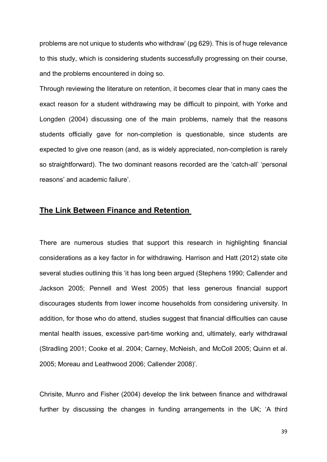problems are not unique to students who withdraw' (pg 629). This is of huge relevance to this study, which is considering students successfully progressing on their course, and the problems encountered in doing so.

Through reviewing the literature on retention, it becomes clear that in many caes the exact reason for a student withdrawing may be difficult to pinpoint, with Yorke and Longden (2004) discussing one of the main problems, namely that the reasons students officially gave for non-completion is questionable, since students are expected to give one reason (and, as is widely appreciated, non-completion is rarely so straightforward). The two dominant reasons recorded are the 'catch-all' 'personal reasons' and academic failure'.

#### **The Link Between Finance and Retention**

There are numerous studies that support this research in highlighting financial considerations as a key factor in for withdrawing. Harrison and Hatt (2012) state cite several studies outlining this 'it has long been argued (Stephens 1990; Callender and Jackson 2005; Pennell and West 2005) that less generous financial support discourages students from lower income households from considering university. In addition, for those who do attend, studies suggest that financial difficulties can cause mental health issues, excessive part-time working and, ultimately, early withdrawal (Stradling 2001; Cooke et al. 2004; Carney, McNeish, and McColl 2005; Quinn et al. 2005; Moreau and Leathwood 2006; Callender 2008)'.

Chrisite, Munro and Fisher (2004) develop the link between finance and withdrawal further by discussing the changes in funding arrangements in the UK; 'A third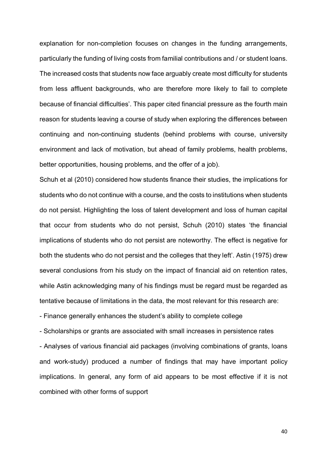explanation for non-completion focuses on changes in the funding arrangements, particularly the funding of living costs from familial contributions and / or student loans. The increased costs that students now face arguably create most difficulty for students from less affluent backgrounds, who are therefore more likely to fail to complete because of financial difficulties'. This paper cited financial pressure as the fourth main reason for students leaving a course of study when exploring the differences between continuing and non-continuing students (behind problems with course, university environment and lack of motivation, but ahead of family problems, health problems, better opportunities, housing problems, and the offer of a job).

Schuh et al (2010) considered how students finance their studies, the implications for students who do not continue with a course, and the costs to institutions when students do not persist. Highlighting the loss of talent development and loss of human capital that occur from students who do not persist, Schuh (2010) states 'the financial implications of students who do not persist are noteworthy. The effect is negative for both the students who do not persist and the colleges that they left'. Astin (1975) drew several conclusions from his study on the impact of financial aid on retention rates, while Astin acknowledging many of his findings must be regard must be regarded as tentative because of limitations in the data, the most relevant for this research are:

- Finance generally enhances the student's ability to complete college

- Scholarships or grants are associated with small increases in persistence rates

- Analyses of various financial aid packages (involving combinations of grants, loans and work-study) produced a number of findings that may have important policy implications. In general, any form of aid appears to be most effective if it is not combined with other forms of support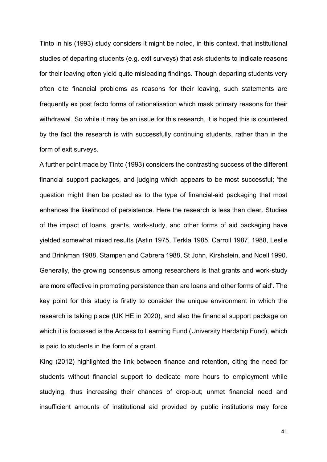Tinto in his (1993) study considers it might be noted, in this context, that institutional studies of departing students (e.g. exit surveys) that ask students to indicate reasons for their leaving often yield quite misleading findings. Though departing students very often cite financial problems as reasons for their leaving, such statements are frequently ex post facto forms of rationalisation which mask primary reasons for their withdrawal. So while it may be an issue for this research, it is hoped this is countered by the fact the research is with successfully continuing students, rather than in the form of exit surveys.

A further point made by Tinto (1993) considers the contrasting success of the different financial support packages, and judging which appears to be most successful; 'the question might then be posted as to the type of financial-aid packaging that most enhances the likelihood of persistence. Here the research is less than clear. Studies of the impact of loans, grants, work-study, and other forms of aid packaging have yielded somewhat mixed results (Astin 1975, Terkla 1985, Carroll 1987, 1988, Leslie and Brinkman 1988, Stampen and Cabrera 1988, St John, Kirshstein, and Noell 1990. Generally, the growing consensus among researchers is that grants and work-study are more effective in promoting persistence than are loans and other forms of aid'. The key point for this study is firstly to consider the unique environment in which the research is taking place (UK HE in 2020), and also the financial support package on which it is focussed is the Access to Learning Fund (University Hardship Fund), which is paid to students in the form of a grant.

King (2012) highlighted the link between finance and retention, citing the need for students without financial support to dedicate more hours to employment while studying, thus increasing their chances of drop-out; unmet financial need and insufficient amounts of institutional aid provided by public institutions may force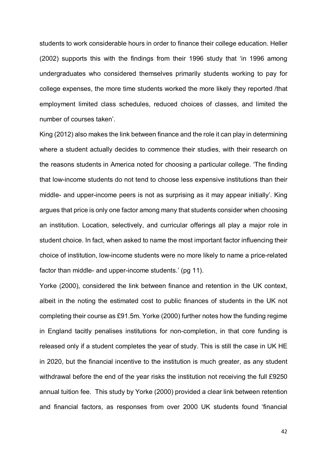students to work considerable hours in order to finance their college education. Heller (2002) supports this with the findings from their 1996 study that 'in 1996 among undergraduates who considered themselves primarily students working to pay for college expenses, the more time students worked the more likely they reported /that employment limited class schedules, reduced choices of classes, and limited the number of courses taken'.

King (2012) also makes the link between finance and the role it can play in determining where a student actually decides to commence their studies, with their research on the reasons students in America noted for choosing a particular college. 'The finding that low-income students do not tend to choose less expensive institutions than their middle- and upper-income peers is not as surprising as it may appear initially'. King argues that price is only one factor among many that students consider when choosing an institution. Location, selectively, and curricular offerings all play a major role in student choice. In fact, when asked to name the most important factor influencing their choice of institution, low-income students were no more likely to name a price-related factor than middle- and upper-income students.' (pg 11).

Yorke (2000), considered the link between finance and retention in the UK context, albeit in the noting the estimated cost to public finances of students in the UK not completing their course as £91.5m. Yorke (2000) further notes how the funding regime in England tacitly penalises institutions for non-completion, in that core funding is released only if a student completes the year of study. This is still the case in UK HE in 2020, but the financial incentive to the institution is much greater, as any student withdrawal before the end of the year risks the institution not receiving the full £9250 annual tuition fee. This study by Yorke (2000) provided a clear link between retention and financial factors, as responses from over 2000 UK students found 'financial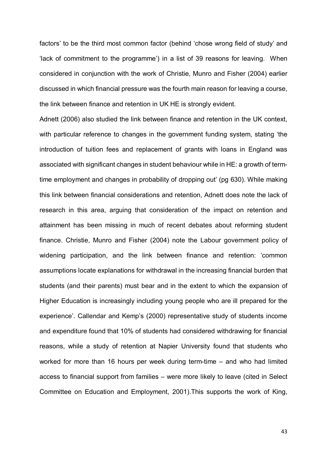factors' to be the third most common factor (behind 'chose wrong field of study' and 'lack of commitment to the programme') in a list of 39 reasons for leaving. When considered in conjunction with the work of Christie, Munro and Fisher (2004) earlier discussed in which financial pressure was the fourth main reason for leaving a course, the link between finance and retention in UK HE is strongly evident.

Adnett (2006) also studied the link between finance and retention in the UK context, with particular reference to changes in the government funding system, stating 'the introduction of tuition fees and replacement of grants with loans in England was associated with significant changes in student behaviour while in HE: a growth of termtime employment and changes in probability of dropping out' (pg 630). While making this link between financial considerations and retention, Adnett does note the lack of research in this area, arguing that consideration of the impact on retention and attainment has been missing in much of recent debates about reforming student finance. Christie, Munro and Fisher (2004) note the Labour government policy of widening participation, and the link between finance and retention: 'common assumptions locate explanations for withdrawal in the increasing financial burden that students (and their parents) must bear and in the extent to which the expansion of Higher Education is increasingly including young people who are ill prepared for the experience'. Callendar and Kemp's (2000) representative study of students income and expenditure found that 10% of students had considered withdrawing for financial reasons, while a study of retention at Napier University found that students who worked for more than 16 hours per week during term-time – and who had limited access to financial support from families – were more likely to leave (cited in Select Committee on Education and Employment, 2001).This supports the work of King,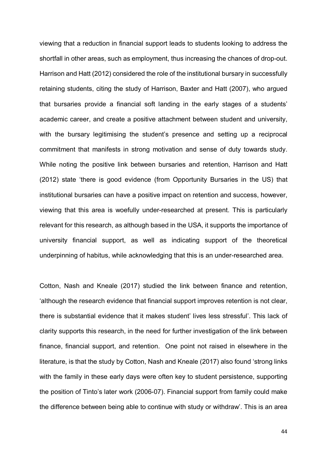viewing that a reduction in financial support leads to students looking to address the shortfall in other areas, such as employment, thus increasing the chances of drop-out. Harrison and Hatt (2012) considered the role of the institutional bursary in successfully retaining students, citing the study of Harrison, Baxter and Hatt (2007), who argued that bursaries provide a financial soft landing in the early stages of a students' academic career, and create a positive attachment between student and university, with the bursary legitimising the student's presence and setting up a reciprocal commitment that manifests in strong motivation and sense of duty towards study. While noting the positive link between bursaries and retention, Harrison and Hatt (2012) state 'there is good evidence (from Opportunity Bursaries in the US) that institutional bursaries can have a positive impact on retention and success, however, viewing that this area is woefully under-researched at present. This is particularly relevant for this research, as although based in the USA, it supports the importance of university financial support, as well as indicating support of the theoretical underpinning of habitus, while acknowledging that this is an under-researched area.

Cotton, Nash and Kneale (2017) studied the link between finance and retention, 'although the research evidence that financial support improves retention is not clear, there is substantial evidence that it makes student' lives less stressful'. This lack of clarity supports this research, in the need for further investigation of the link between finance, financial support, and retention. One point not raised in elsewhere in the literature, is that the study by Cotton, Nash and Kneale (2017) also found 'strong links with the family in these early days were often key to student persistence, supporting the position of Tinto's later work (2006-07). Financial support from family could make the difference between being able to continue with study or withdraw'. This is an area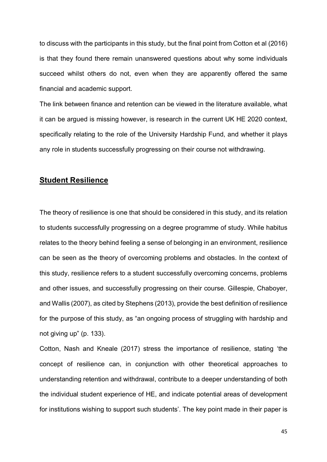to discuss with the participants in this study, but the final point from Cotton et al (2016) is that they found there remain unanswered questions about why some individuals succeed whilst others do not, even when they are apparently offered the same financial and academic support.

The link between finance and retention can be viewed in the literature available, what it can be argued is missing however, is research in the current UK HE 2020 context, specifically relating to the role of the University Hardship Fund, and whether it plays any role in students successfully progressing on their course not withdrawing.

## **Student Resilience**

The theory of resilience is one that should be considered in this study, and its relation to students successfully progressing on a degree programme of study. While habitus relates to the theory behind feeling a sense of belonging in an environment, resilience can be seen as the theory of overcoming problems and obstacles. In the context of this study, resilience refers to a student successfully overcoming concerns, problems and other issues, and successfully progressing on their course. Gillespie, Chaboyer, and Wallis (2007), as cited by Stephens (2013), provide the best definition of resilience for the purpose of this study, as "an ongoing process of struggling with hardship and not giving up" (p. 133).

Cotton, Nash and Kneale (2017) stress the importance of resilience, stating 'the concept of resilience can, in conjunction with other theoretical approaches to understanding retention and withdrawal, contribute to a deeper understanding of both the individual student experience of HE, and indicate potential areas of development for institutions wishing to support such students'. The key point made in their paper is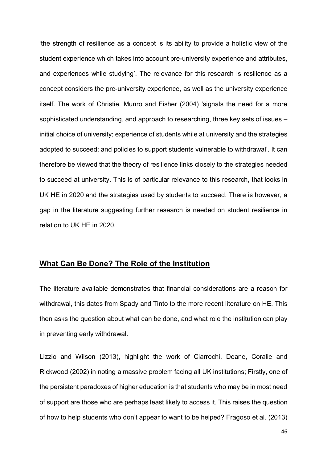'the strength of resilience as a concept is its ability to provide a holistic view of the student experience which takes into account pre-university experience and attributes, and experiences while studying'. The relevance for this research is resilience as a concept considers the pre-university experience, as well as the university experience itself. The work of Christie, Munro and Fisher (2004) 'signals the need for a more sophisticated understanding, and approach to researching, three key sets of issues – initial choice of university; experience of students while at university and the strategies adopted to succeed; and policies to support students vulnerable to withdrawal'. It can therefore be viewed that the theory of resilience links closely to the strategies needed to succeed at university. This is of particular relevance to this research, that looks in UK HE in 2020 and the strategies used by students to succeed. There is however, a gap in the literature suggesting further research is needed on student resilience in relation to UK HE in 2020.

#### **What Can Be Done? The Role of the Institution**

The literature available demonstrates that financial considerations are a reason for withdrawal, this dates from Spady and Tinto to the more recent literature on HE. This then asks the question about what can be done, and what role the institution can play in preventing early withdrawal.

Lizzio and Wilson (2013), highlight the work of Ciarrochi, Deane, Coralie and Rickwood (2002) in noting a massive problem facing all UK institutions; Firstly, one of the persistent paradoxes of higher education is that students who may be in most need of support are those who are perhaps least likely to access it. This raises the question of how to help students who don't appear to want to be helped? Fragoso et al. (2013)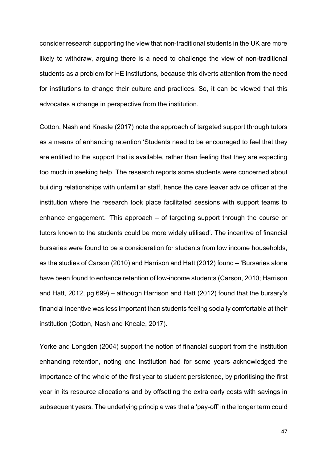consider research supporting the view that non-traditional students in the UK are more likely to withdraw, arguing there is a need to challenge the view of non-traditional students as a problem for HE institutions, because this diverts attention from the need for institutions to change their culture and practices. So, it can be viewed that this advocates a change in perspective from the institution.

Cotton, Nash and Kneale (2017) note the approach of targeted support through tutors as a means of enhancing retention 'Students need to be encouraged to feel that they are entitled to the support that is available, rather than feeling that they are expecting too much in seeking help. The research reports some students were concerned about building relationships with unfamiliar staff, hence the care leaver advice officer at the institution where the research took place facilitated sessions with support teams to enhance engagement. 'This approach – of targeting support through the course or tutors known to the students could be more widely utilised'. The incentive of financial bursaries were found to be a consideration for students from low income households, as the studies of Carson (2010) and Harrison and Hatt (2012) found – 'Bursaries alone have been found to enhance retention of low-income students (Carson, 2010; Harrison and Hatt, 2012, pg 699) – although Harrison and Hatt (2012) found that the bursary's financial incentive was less important than students feeling socially comfortable at their institution (Cotton, Nash and Kneale, 2017).

Yorke and Longden (2004) support the notion of financial support from the institution enhancing retention, noting one institution had for some years acknowledged the importance of the whole of the first year to student persistence, by prioritising the first year in its resource allocations and by offsetting the extra early costs with savings in subsequent years. The underlying principle was that a 'pay-off' in the longer term could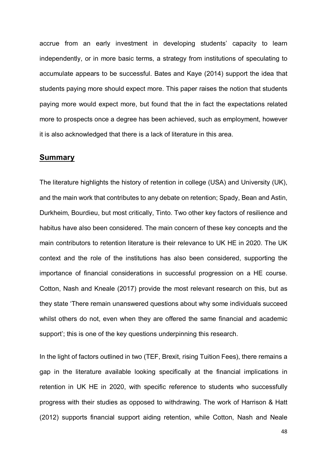accrue from an early investment in developing students' capacity to learn independently, or in more basic terms, a strategy from institutions of speculating to accumulate appears to be successful. Bates and Kaye (2014) support the idea that students paying more should expect more. This paper raises the notion that students paying more would expect more, but found that the in fact the expectations related more to prospects once a degree has been achieved, such as employment, however it is also acknowledged that there is a lack of literature in this area.

#### **Summary**

The literature highlights the history of retention in college (USA) and University (UK), and the main work that contributes to any debate on retention; Spady, Bean and Astin, Durkheim, Bourdieu, but most critically, Tinto. Two other key factors of resilience and habitus have also been considered. The main concern of these key concepts and the main contributors to retention literature is their relevance to UK HE in 2020. The UK context and the role of the institutions has also been considered, supporting the importance of financial considerations in successful progression on a HE course. Cotton, Nash and Kneale (2017) provide the most relevant research on this, but as they state 'There remain unanswered questions about why some individuals succeed whilst others do not, even when they are offered the same financial and academic support'; this is one of the key questions underpinning this research.

In the light of factors outlined in two (TEF, Brexit, rising Tuition Fees), there remains a gap in the literature available looking specifically at the financial implications in retention in UK HE in 2020, with specific reference to students who successfully progress with their studies as opposed to withdrawing. The work of Harrison & Hatt (2012) supports financial support aiding retention, while Cotton, Nash and Neale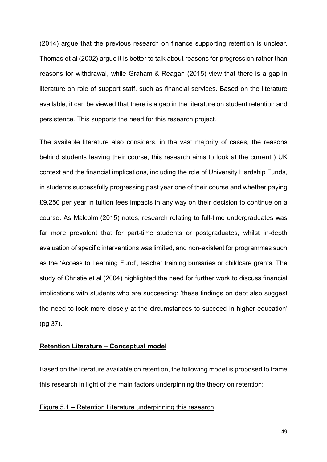(2014) argue that the previous research on finance supporting retention is unclear. Thomas et al (2002) argue it is better to talk about reasons for progression rather than reasons for withdrawal, while Graham & Reagan (2015) view that there is a gap in literature on role of support staff, such as financial services. Based on the literature available, it can be viewed that there is a gap in the literature on student retention and persistence. This supports the need for this research project.

The available literature also considers, in the vast majority of cases, the reasons behind students leaving their course, this research aims to look at the current ) UK context and the financial implications, including the role of University Hardship Funds, in students successfully progressing past year one of their course and whether paying £9,250 per year in tuition fees impacts in any way on their decision to continue on a course. As Malcolm (2015) notes, research relating to full-time undergraduates was far more prevalent that for part-time students or postgraduates, whilst in-depth evaluation of specific interventions was limited, and non-existent for programmes such as the 'Access to Learning Fund', teacher training bursaries or childcare grants. The study of Christie et al (2004) highlighted the need for further work to discuss financial implications with students who are succeeding: 'these findings on debt also suggest the need to look more closely at the circumstances to succeed in higher education' (pg 37).

#### **Retention Literature – Conceptual model**

Based on the literature available on retention, the following model is proposed to frame this research in light of the main factors underpinning the theory on retention:

#### Figure 5.1 – Retention Literature underpinning this research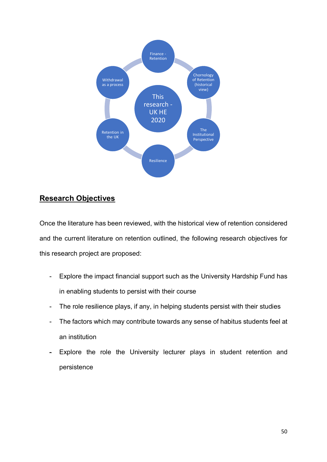

## **Research Objectives**

Once the literature has been reviewed, with the historical view of retention considered and the current literature on retention outlined, the following research objectives for this research project are proposed:

- Explore the impact financial support such as the University Hardship Fund has in enabling students to persist with their course
- The role resilience plays, if any, in helping students persist with their studies
- The factors which may contribute towards any sense of habitus students feel at an institution
- Explore the role the University lecturer plays in student retention and persistence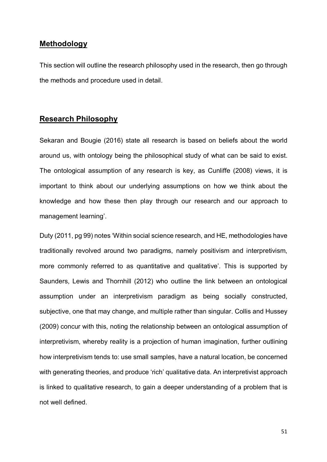## **Methodology**

This section will outline the research philosophy used in the research, then go through the methods and procedure used in detail.

## **Research Philosophy**

Sekaran and Bougie (2016) state all research is based on beliefs about the world around us, with ontology being the philosophical study of what can be said to exist. The ontological assumption of any research is key, as Cunliffe (2008) views, it is important to think about our underlying assumptions on how we think about the knowledge and how these then play through our research and our approach to management learning'.

Duty (2011, pg 99) notes 'Within social science research, and HE, methodologies have traditionally revolved around two paradigms, namely positivism and interpretivism, more commonly referred to as quantitative and qualitative'. This is supported by Saunders, Lewis and Thornhill (2012) who outline the link between an ontological assumption under an interpretivism paradigm as being socially constructed, subjective, one that may change, and multiple rather than singular. Collis and Hussey (2009) concur with this, noting the relationship between an ontological assumption of interpretivism, whereby reality is a projection of human imagination, further outlining how interpretivism tends to: use small samples, have a natural location, be concerned with generating theories, and produce 'rich' qualitative data. An interpretivist approach is linked to qualitative research, to gain a deeper understanding of a problem that is not well defined.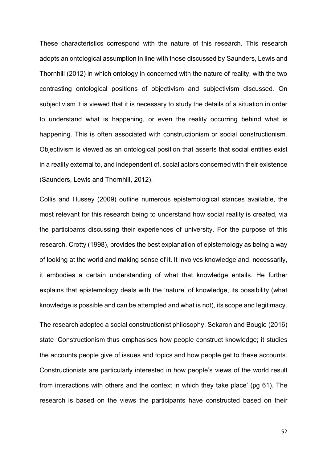These characteristics correspond with the nature of this research. This research adopts an ontological assumption in line with those discussed by Saunders, Lewis and Thornhill (2012) in which ontology in concerned with the nature of reality, with the two contrasting ontological positions of objectivism and subjectivism discussed. On subjectivism it is viewed that it is necessary to study the details of a situation in order to understand what is happening, or even the reality occurring behind what is happening. This is often associated with constructionism or social constructionism. Objectivism is viewed as an ontological position that asserts that social entities exist in a reality external to, and independent of, social actors concerned with their existence (Saunders, Lewis and Thornhill, 2012).

Collis and Hussey (2009) outline numerous epistemological stances available, the most relevant for this research being to understand how social reality is created, via the participants discussing their experiences of university. For the purpose of this research, Crotty (1998), provides the best explanation of epistemology as being a way of looking at the world and making sense of it. It involves knowledge and, necessarily, it embodies a certain understanding of what that knowledge entails. He further explains that epistemology deals with the 'nature' of knowledge, its possibility (what knowledge is possible and can be attempted and what is not), its scope and legitimacy.

The research adopted a social constructionist philosophy. Sekaron and Bougie (2016) state 'Constructionism thus emphasises how people construct knowledge; it studies the accounts people give of issues and topics and how people get to these accounts. Constructionists are particularly interested in how people's views of the world result from interactions with others and the context in which they take place' (pg 61). The research is based on the views the participants have constructed based on their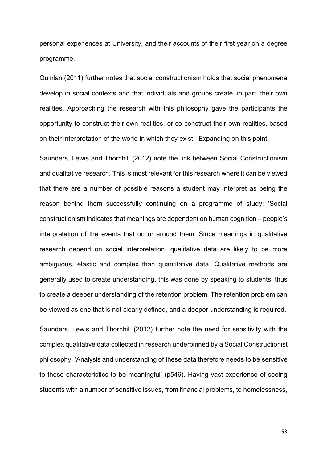personal experiences at University, and their accounts of their first year on a degree programme.

Quinlan (2011) further notes that social constructionism holds that social phenomena develop in social contexts and that individuals and groups create, in part, their own realities. Approaching the research with this philosophy gave the participants the opportunity to construct their own realities, or co-construct their own realities, based on their interpretation of the world in which they exist. Expanding on this point,

Saunders, Lewis and Thornhill (2012) note the link between Social Constructionism and qualitative research. This is most relevant for this research where it can be viewed that there are a number of possible reasons a student may interpret as being the reason behind them successfully continuing on a programme of study; 'Social constructionism indicates that meanings are dependent on human cognition – people's interpretation of the events that occur around them. Since meanings in qualitative research depend on social interpretation, qualitative data are likely to be more ambiguous, elastic and complex than quantitative data. Qualitative methods are generally used to create understanding, this was done by speaking to students, thus to create a deeper understanding of the retention problem. The retention problem can be viewed as one that is not clearly defined, and a deeper understanding is required.

Saunders, Lewis and Thornhill (2012) further note the need for sensitivity with the complex qualitative data collected in research underpinned by a Social Constructionist philosophy: 'Analysis and understanding of these data therefore needs to be sensitive to these characteristics to be meaningful' (p546). Having vast experience of seeing students with a number of sensitive issues, from financial problems, to homelessness,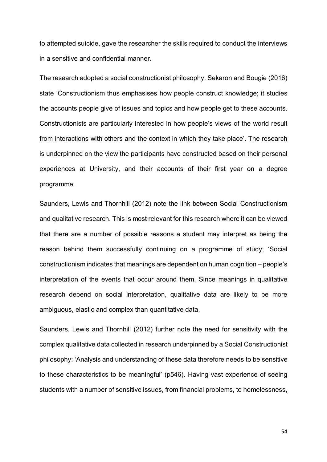to attempted suicide, gave the researcher the skills required to conduct the interviews in a sensitive and confidential manner.

The research adopted a social constructionist philosophy. Sekaron and Bougie (2016) state 'Constructionism thus emphasises how people construct knowledge; it studies the accounts people give of issues and topics and how people get to these accounts. Constructionists are particularly interested in how people's views of the world result from interactions with others and the context in which they take place'. The research is underpinned on the view the participants have constructed based on their personal experiences at University, and their accounts of their first year on a degree programme.

Saunders, Lewis and Thornhill (2012) note the link between Social Constructionism and qualitative research. This is most relevant for this research where it can be viewed that there are a number of possible reasons a student may interpret as being the reason behind them successfully continuing on a programme of study; 'Social constructionism indicates that meanings are dependent on human cognition – people's interpretation of the events that occur around them. Since meanings in qualitative research depend on social interpretation, qualitative data are likely to be more ambiguous, elastic and complex than quantitative data.

Saunders, Lewis and Thornhill (2012) further note the need for sensitivity with the complex qualitative data collected in research underpinned by a Social Constructionist philosophy: 'Analysis and understanding of these data therefore needs to be sensitive to these characteristics to be meaningful' (p546). Having vast experience of seeing students with a number of sensitive issues, from financial problems, to homelessness,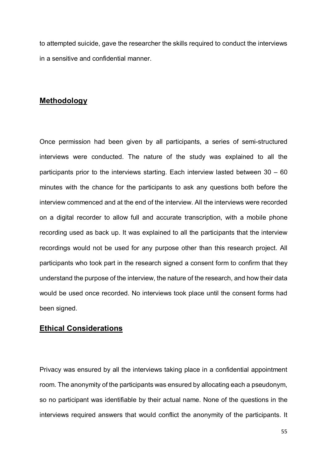to attempted suicide, gave the researcher the skills required to conduct the interviews in a sensitive and confidential manner.

## **Methodology**

Once permission had been given by all participants, a series of semi-structured interviews were conducted. The nature of the study was explained to all the participants prior to the interviews starting. Each interview lasted between 30 – 60 minutes with the chance for the participants to ask any questions both before the interview commenced and at the end of the interview. All the interviews were recorded on a digital recorder to allow full and accurate transcription, with a mobile phone recording used as back up. It was explained to all the participants that the interview recordings would not be used for any purpose other than this research project. All participants who took part in the research signed a consent form to confirm that they understand the purpose of the interview, the nature of the research, and how their data would be used once recorded. No interviews took place until the consent forms had been signed.

## **Ethical Considerations**

Privacy was ensured by all the interviews taking place in a confidential appointment room. The anonymity of the participants was ensured by allocating each a pseudonym, so no participant was identifiable by their actual name. None of the questions in the interviews required answers that would conflict the anonymity of the participants. It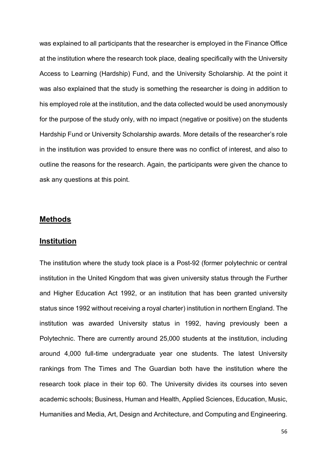was explained to all participants that the researcher is employed in the Finance Office at the institution where the research took place, dealing specifically with the University Access to Learning (Hardship) Fund, and the University Scholarship. At the point it was also explained that the study is something the researcher is doing in addition to his employed role at the institution, and the data collected would be used anonymously for the purpose of the study only, with no impact (negative or positive) on the students Hardship Fund or University Scholarship awards. More details of the researcher's role in the institution was provided to ensure there was no conflict of interest, and also to outline the reasons for the research. Again, the participants were given the chance to ask any questions at this point.

#### **Methods**

#### **Institution**

The institution where the study took place is a Post-92 (former polytechnic or central institution in the United Kingdom that was given university status through the Further and Higher Education Act 1992, or an institution that has been granted university status since 1992 without receiving a royal charter) institution in northern England. The institution was awarded University status in 1992, having previously been a Polytechnic. There are currently around 25,000 students at the institution, including around 4,000 full-time undergraduate year one students. The latest University rankings from The Times and The Guardian both have the institution where the research took place in their top 60. The University divides its courses into seven academic schools; Business, Human and Health, Applied Sciences, Education, Music, Humanities and Media, Art, Design and Architecture, and Computing and Engineering.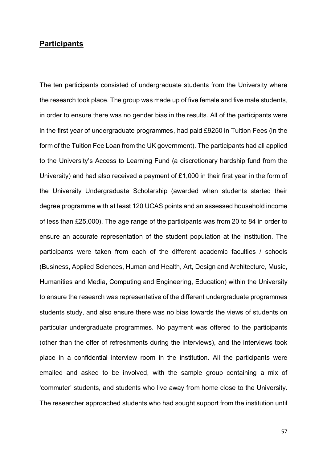#### **Participants**

The ten participants consisted of undergraduate students from the University where the research took place. The group was made up of five female and five male students, in order to ensure there was no gender bias in the results. All of the participants were in the first year of undergraduate programmes, had paid £9250 in Tuition Fees (in the form of the Tuition Fee Loan from the UK government). The participants had all applied to the University's Access to Learning Fund (a discretionary hardship fund from the University) and had also received a payment of £1,000 in their first year in the form of the University Undergraduate Scholarship (awarded when students started their degree programme with at least 120 UCAS points and an assessed household income of less than £25,000). The age range of the participants was from 20 to 84 in order to ensure an accurate representation of the student population at the institution. The participants were taken from each of the different academic faculties / schools (Business, Applied Sciences, Human and Health, Art, Design and Architecture, Music, Humanities and Media, Computing and Engineering, Education) within the University to ensure the research was representative of the different undergraduate programmes students study, and also ensure there was no bias towards the views of students on particular undergraduate programmes. No payment was offered to the participants (other than the offer of refreshments during the interviews), and the interviews took place in a confidential interview room in the institution. All the participants were emailed and asked to be involved, with the sample group containing a mix of 'commuter' students, and students who live away from home close to the University. The researcher approached students who had sought support from the institution until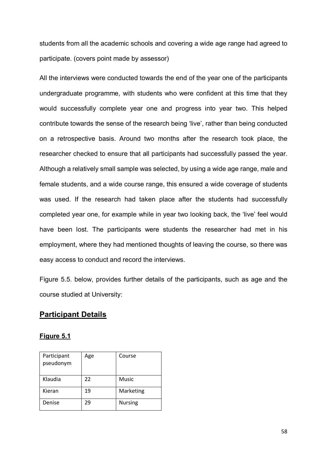students from all the academic schools and covering a wide age range had agreed to participate. (covers point made by assessor)

All the interviews were conducted towards the end of the year one of the participants undergraduate programme, with students who were confident at this time that they would successfully complete year one and progress into year two. This helped contribute towards the sense of the research being 'live', rather than being conducted on a retrospective basis. Around two months after the research took place, the researcher checked to ensure that all participants had successfully passed the year. Although a relatively small sample was selected, by using a wide age range, male and female students, and a wide course range, this ensured a wide coverage of students was used. If the research had taken place after the students had successfully completed year one, for example while in year two looking back, the 'live' feel would have been lost. The participants were students the researcher had met in his employment, where they had mentioned thoughts of leaving the course, so there was easy access to conduct and record the interviews.

Figure 5.5. below, provides further details of the participants, such as age and the course studied at University:

## **Participant Details**

#### **Figure 5.1**

| Participant<br>pseudonym | Age | Course         |
|--------------------------|-----|----------------|
| Klaudia                  | 22  | Music          |
| Kieran                   | 19  | Marketing      |
| Denise                   | 29  | <b>Nursing</b> |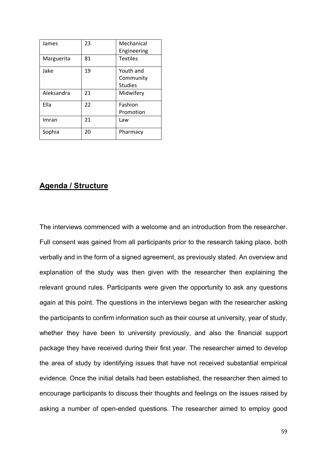| James      | 23 | Mechanical<br>Engineering                |
|------------|----|------------------------------------------|
| Marguerita | 81 | <b>Textiles</b>                          |
| Jake       | 19 | Youth and<br>Community<br><b>Studies</b> |
| Aleksandra | 21 | Midwifery                                |
| Ella       | 22 | Fashion<br>Promotion                     |
| Imran      | 21 | Law                                      |
| Sophia     | 20 | Pharmacy                                 |

## **Agenda / Structure**

The interviews commenced with a welcome and an introduction from the researcher. Full consent was gained from all participants prior to the research taking place, both verbally and in the form of a signed agreement, as previously stated. An overview and explanation of the study was then given with the researcher then explaining the relevant ground rules. Participants were given the opportunity to ask any questions again at this point. The questions in the interviews began with the researcher asking the participants to confirm information such as their course at university, year of study, whether they have been to university previously, and also the financial support package they have received during their first year. The researcher aimed to develop the area of study by identifying issues that have not received substantial empirical evidence. Once the initial details had been established, the researcher then aimed to encourage participants to discuss their thoughts and feelings on the issues raised by asking a number of open-ended questions. The researcher aimed to employ good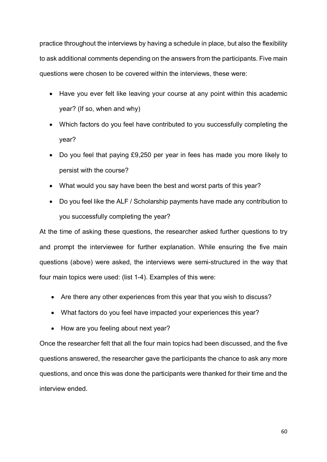practice throughout the interviews by having a schedule in place, but also the flexibility to ask additional comments depending on the answers from the participants. Five main questions were chosen to be covered within the interviews, these were:

- Have you ever felt like leaving your course at any point within this academic year? (If so, when and why)
- Which factors do you feel have contributed to you successfully completing the year?
- Do you feel that paying £9,250 per year in fees has made you more likely to persist with the course?
- What would you say have been the best and worst parts of this year?
- Do you feel like the ALF / Scholarship payments have made any contribution to you successfully completing the year?

At the time of asking these questions, the researcher asked further questions to try and prompt the interviewee for further explanation. While ensuring the five main questions (above) were asked, the interviews were semi-structured in the way that four main topics were used: (list 1-4). Examples of this were:

- Are there any other experiences from this year that you wish to discuss?
- What factors do you feel have impacted your experiences this year?
- How are you feeling about next year?

Once the researcher felt that all the four main topics had been discussed, and the five questions answered, the researcher gave the participants the chance to ask any more questions, and once this was done the participants were thanked for their time and the interview ended.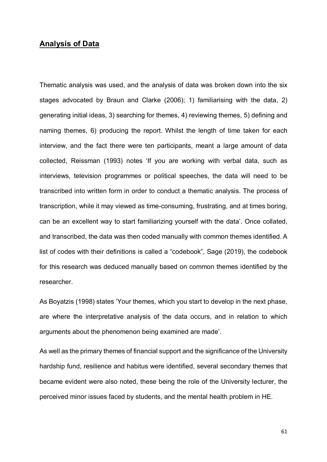## **Analysis of Data**

Thematic analysis was used, and the analysis of data was broken down into the six stages advocated by Braun and Clarke (2006); 1) familiarising with the data, 2) generating initial ideas, 3) searching for themes, 4) reviewing themes, 5) defining and naming themes, 6) producing the report. Whilst the length of time taken for each interview, and the fact there were ten participants, meant a large amount of data collected, Reissman (1993) notes 'If you are working with verbal data, such as interviews, television programmes or political speeches, the data will need to be transcribed into written form in order to conduct a thematic analysis. The process of transcription, while it may viewed as time-consuming, frustrating, and at times boring, can be an excellent way to start familiarizing yourself with the data'. Once collated, and transcribed, the data was then coded manually with common themes identified. A list of codes with their definitions is called a "codebook", Sage (2019), the codebook for this research was deduced manually based on common themes identified by the researcher.

As Boyatzis (1998) states 'Your themes, which you start to develop in the next phase, are where the interpretative analysis of the data occurs, and in relation to which arguments about the phenomenon being examined are made'.

As well as the primary themes of financial support and the significance of the University hardship fund, resilience and habitus were identified, several secondary themes that became evident were also noted, these being the role of the University lecturer, the perceived minor issues faced by students, and the mental health problem in HE.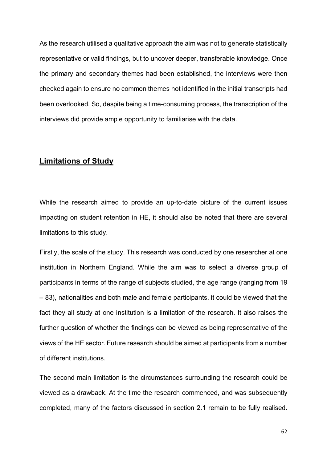As the research utilised a qualitative approach the aim was not to generate statistically representative or valid findings, but to uncover deeper, transferable knowledge. Once the primary and secondary themes had been established, the interviews were then checked again to ensure no common themes not identified in the initial transcripts had been overlooked. So, despite being a time-consuming process, the transcription of the interviews did provide ample opportunity to familiarise with the data.

#### **Limitations of Study**

While the research aimed to provide an up-to-date picture of the current issues impacting on student retention in HE, it should also be noted that there are several limitations to this study.

Firstly, the scale of the study. This research was conducted by one researcher at one institution in Northern England. While the aim was to select a diverse group of participants in terms of the range of subjects studied, the age range (ranging from 19 – 83), nationalities and both male and female participants, it could be viewed that the fact they all study at one institution is a limitation of the research. It also raises the further question of whether the findings can be viewed as being representative of the views of the HE sector. Future research should be aimed at participants from a number of different institutions.

The second main limitation is the circumstances surrounding the research could be viewed as a drawback. At the time the research commenced, and was subsequently completed, many of the factors discussed in section 2.1 remain to be fully realised.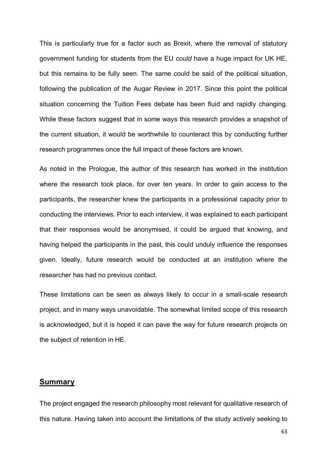This is particularly true for a factor such as Brexit, where the removal of statutory government funding for students from the EU *could* have a huge impact for UK HE, but this remains to be fully seen. The same could be said of the political situation, following the publication of the Augar Review in 2017. Since this point the political situation concerning the Tuition Fees debate has been fluid and rapidly changing. While these factors suggest that in some ways this research provides a snapshot of the current situation, it would be worthwhile to counteract this by conducting further research programmes once the full impact of these factors are known.

As noted in the Prologue, the author of this research has worked in the institution where the research took place, for over ten years. In order to gain access to the participants, the researcher knew the participants in a professional capacity prior to conducting the interviews. Prior to each interview, it was explained to each participant that their responses would be anonymised, it could be argued that knowing, and having helped the participants in the past, this could unduly influence the responses given. Ideally, future research would be conducted at an institution where the researcher has had no previous contact.

These limitations can be seen as always likely to occur in a small-scale research project, and in many ways unavoidable. The somewhat limited scope of this research is acknowledged, but it is hoped it can pave the way for future research projects on the subject of retention in HE.

#### **Summary**

The project engaged the research philosophy most relevant for qualitative research of this nature. Having taken into account the limitations of the study actively seeking to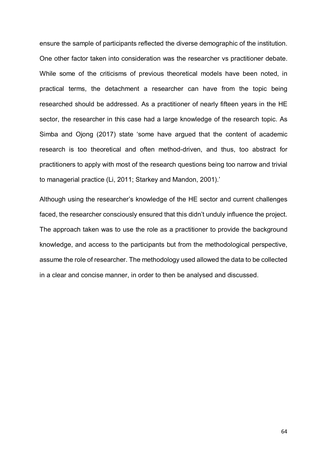ensure the sample of participants reflected the diverse demographic of the institution. One other factor taken into consideration was the researcher vs practitioner debate. While some of the criticisms of previous theoretical models have been noted, in practical terms, the detachment a researcher can have from the topic being researched should be addressed. As a practitioner of nearly fifteen years in the HE sector, the researcher in this case had a large knowledge of the research topic. As Simba and Ojong (2017) state 'some have argued that the content of academic research is too theoretical and often method-driven, and thus, too abstract for practitioners to apply with most of the research questions being too narrow and trivial to managerial practice (Li, 2011; Starkey and Mandon, 2001).'

Although using the researcher's knowledge of the HE sector and current challenges faced, the researcher consciously ensured that this didn't unduly influence the project. The approach taken was to use the role as a practitioner to provide the background knowledge, and access to the participants but from the methodological perspective, assume the role of researcher. The methodology used allowed the data to be collected in a clear and concise manner, in order to then be analysed and discussed.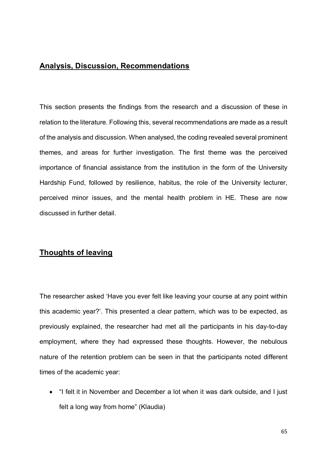## **Analysis, Discussion, Recommendations**

This section presents the findings from the research and a discussion of these in relation to the literature. Following this, several recommendations are made as a result of the analysis and discussion. When analysed, the coding revealed several prominent themes, and areas for further investigation. The first theme was the perceived importance of financial assistance from the institution in the form of the University Hardship Fund, followed by resilience, habitus, the role of the University lecturer, perceived minor issues, and the mental health problem in HE. These are now discussed in further detail.

## **Thoughts of leaving**

The researcher asked 'Have you ever felt like leaving your course at any point within this academic year?'. This presented a clear pattern, which was to be expected, as previously explained, the researcher had met all the participants in his day-to-day employment, where they had expressed these thoughts. However, the nebulous nature of the retention problem can be seen in that the participants noted different times of the academic year:

• "I felt it in November and December a lot when it was dark outside, and I just felt a long way from home" (Klaudia)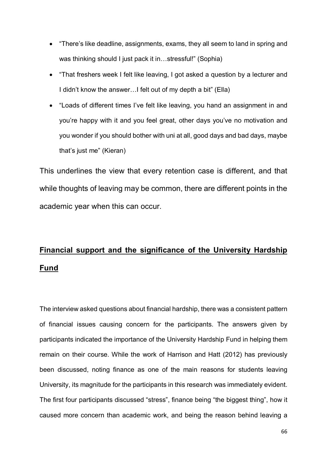- "There's like deadline, assignments, exams, they all seem to land in spring and was thinking should I just pack it in…stressful!" (Sophia)
- "That freshers week I felt like leaving, I got asked a question by a lecturer and I didn't know the answer…I felt out of my depth a bit" (Ella)
- "Loads of different times I've felt like leaving, you hand an assignment in and you're happy with it and you feel great, other days you've no motivation and you wonder if you should bother with uni at all, good days and bad days, maybe that's just me" (Kieran)

This underlines the view that every retention case is different, and that while thoughts of leaving may be common, there are different points in the academic year when this can occur.

# **Financial support and the significance of the University Hardship Fund**

The interview asked questions about financial hardship, there was a consistent pattern of financial issues causing concern for the participants. The answers given by participants indicated the importance of the University Hardship Fund in helping them remain on their course. While the work of Harrison and Hatt (2012) has previously been discussed, noting finance as one of the main reasons for students leaving University, its magnitude for the participants in this research was immediately evident. The first four participants discussed "stress", finance being "the biggest thing", how it caused more concern than academic work, and being the reason behind leaving a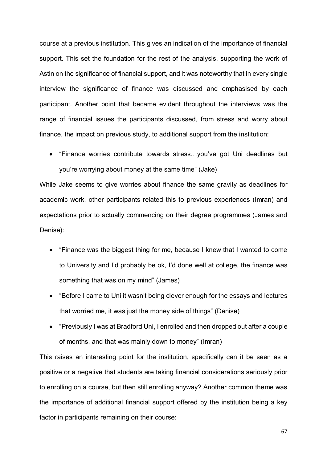course at a previous institution. This gives an indication of the importance of financial support. This set the foundation for the rest of the analysis, supporting the work of Astin on the significance of financial support, and it was noteworthy that in every single interview the significance of finance was discussed and emphasised by each participant. Another point that became evident throughout the interviews was the range of financial issues the participants discussed, from stress and worry about finance, the impact on previous study, to additional support from the institution:

• "Finance worries contribute towards stress…you've got Uni deadlines but you're worrying about money at the same time" (Jake)

While Jake seems to give worries about finance the same gravity as deadlines for academic work, other participants related this to previous experiences (Imran) and expectations prior to actually commencing on their degree programmes (James and Denise):

- "Finance was the biggest thing for me, because I knew that I wanted to come to University and I'd probably be ok, I'd done well at college, the finance was something that was on my mind" (James)
- "Before I came to Uni it wasn't being clever enough for the essays and lectures that worried me, it was just the money side of things" (Denise)
- "Previously I was at Bradford Uni, I enrolled and then dropped out after a couple of months, and that was mainly down to money" (Imran)

This raises an interesting point for the institution, specifically can it be seen as a positive or a negative that students are taking financial considerations seriously prior to enrolling on a course, but then still enrolling anyway? Another common theme was the importance of additional financial support offered by the institution being a key factor in participants remaining on their course: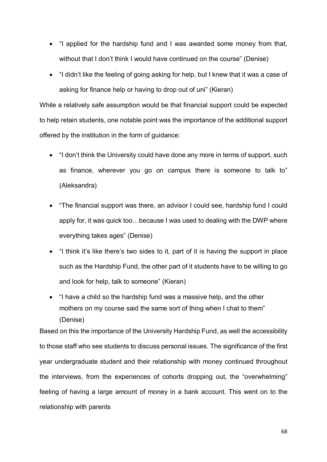- "I applied for the hardship fund and I was awarded some money from that, without that I don't think I would have continued on the course" (Denise)
- "I didn't like the feeling of going asking for help, but I knew that it was a case of asking for finance help or having to drop out of uni" (Kieran)

While a relatively safe assumption would be that financial support could be expected to help retain students, one notable point was the importance of the additional support offered by the institution in the form of guidance:

- "I don't think the University could have done any more in terms of support, such as finance, wherever you go on campus there is someone to talk to" (Aleksandra)
- "The financial support was there, an advisor I could see, hardship fund I could apply for, it was quick too…because I was used to dealing with the DWP where everything takes ages" (Denise)
- "I think it's like there's two sides to it, part of it is having the support in place such as the Hardship Fund, the other part of it students have to be willing to go and look for help, talk to someone" (Kieran)
- "I have a child so the hardship fund was a massive help, and the other mothers on my course said the same sort of thing when I chat to them" (Denise)

Based on this the importance of the University Hardship Fund, as well the accessibility to those staff who see students to discuss personal issues. The significance of the first year undergraduate student and their relationship with money continued throughout the interviews, from the experiences of cohorts dropping out, the "overwhelming" feeling of having a large amount of money in a bank account. This went on to the relationship with parents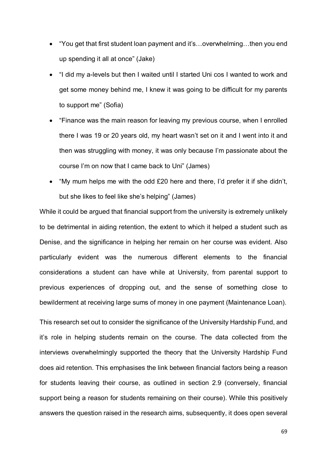- "You get that first student loan payment and it's…overwhelming…then you end up spending it all at once" (Jake)
- "I did my a-levels but then I waited until I started Uni cos I wanted to work and get some money behind me, I knew it was going to be difficult for my parents to support me" (Sofia)
- "Finance was the main reason for leaving my previous course, when I enrolled there I was 19 or 20 years old, my heart wasn't set on it and I went into it and then was struggling with money, it was only because I'm passionate about the course I'm on now that I came back to Uni" (James)
- "My mum helps me with the odd £20 here and there, I'd prefer it if she didn't, but she likes to feel like she's helping" (James)

While it could be argued that financial support from the university is extremely unlikely to be detrimental in aiding retention, the extent to which it helped a student such as Denise, and the significance in helping her remain on her course was evident. Also particularly evident was the numerous different elements to the financial considerations a student can have while at University, from parental support to previous experiences of dropping out, and the sense of something close to bewilderment at receiving large sums of money in one payment (Maintenance Loan).

This research set out to consider the significance of the University Hardship Fund, and it's role in helping students remain on the course. The data collected from the interviews overwhelmingly supported the theory that the University Hardship Fund does aid retention. This emphasises the link between financial factors being a reason for students leaving their course, as outlined in section 2.9 (conversely, financial support being a reason for students remaining on their course). While this positively answers the question raised in the research aims, subsequently, it does open several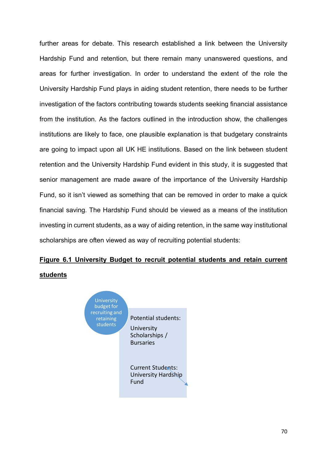further areas for debate. This research established a link between the University Hardship Fund and retention, but there remain many unanswered questions, and areas for further investigation. In order to understand the extent of the role the University Hardship Fund plays in aiding student retention, there needs to be further investigation of the factors contributing towards students seeking financial assistance from the institution. As the factors outlined in the introduction show, the challenges institutions are likely to face, one plausible explanation is that budgetary constraints are going to impact upon all UK HE institutions. Based on the link between student retention and the University Hardship Fund evident in this study, it is suggested that senior management are made aware of the importance of the University Hardship Fund, so it isn't viewed as something that can be removed in order to make a quick financial saving. The Hardship Fund should be viewed as a means of the institution investing in current students, as a way of aiding retention, in the same way institutional scholarships are often viewed as way of recruiting potential students:

## **Figure 6.1 University Budget to recruit potential students and retain current students**

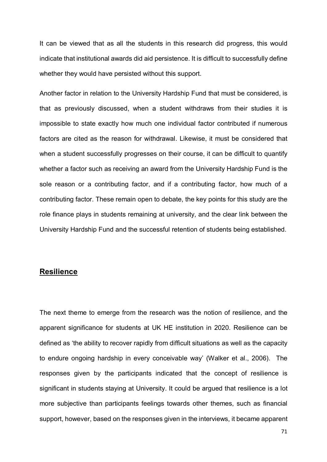It can be viewed that as all the students in this research did progress, this would indicate that institutional awards did aid persistence. It is difficult to successfully define whether they would have persisted without this support.

Another factor in relation to the University Hardship Fund that must be considered, is that as previously discussed, when a student withdraws from their studies it is impossible to state exactly how much one individual factor contributed if numerous factors are cited as the reason for withdrawal. Likewise, it must be considered that when a student successfully progresses on their course, it can be difficult to quantify whether a factor such as receiving an award from the University Hardship Fund is the sole reason or a contributing factor, and if a contributing factor, how much of a contributing factor. These remain open to debate, the key points for this study are the role finance plays in students remaining at university, and the clear link between the University Hardship Fund and the successful retention of students being established.

#### **Resilience**

The next theme to emerge from the research was the notion of resilience, and the apparent significance for students at UK HE institution in 2020. Resilience can be defined as 'the ability to recover rapidly from difficult situations as well as the capacity to endure ongoing hardship in every conceivable way' (Walker et al., 2006). The responses given by the participants indicated that the concept of resilience is significant in students staying at University. It could be argued that resilience is a lot more subjective than participants feelings towards other themes, such as financial support, however, based on the responses given in the interviews, it became apparent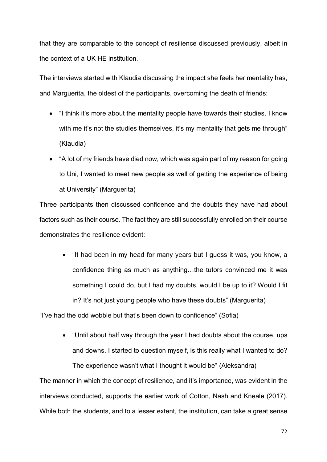that they are comparable to the concept of resilience discussed previously, albeit in the context of a UK HE institution.

The interviews started with Klaudia discussing the impact she feels her mentality has, and Marguerita, the oldest of the participants, overcoming the death of friends:

- "I think it's more about the mentality people have towards their studies. I know with me it's not the studies themselves, it's my mentality that gets me through" (Klaudia)
- "A lot of my friends have died now, which was again part of my reason for going to Uni, I wanted to meet new people as well of getting the experience of being at University" (Marguerita)

Three participants then discussed confidence and the doubts they have had about factors such as their course. The fact they are still successfully enrolled on their course demonstrates the resilience evident:

• "It had been in my head for many years but I guess it was, you know, a confidence thing as much as anything…the tutors convinced me it was something I could do, but I had my doubts, would I be up to it? Would I fit in? It's not just young people who have these doubts" (Marguerita)

"I've had the odd wobble but that's been down to confidence" (Sofia)

• "Until about half way through the year I had doubts about the course, ups and downs. I started to question myself, is this really what I wanted to do? The experience wasn't what I thought it would be" (Aleksandra)

The manner in which the concept of resilience, and it's importance, was evident in the interviews conducted, supports the earlier work of Cotton, Nash and Kneale (2017). While both the students, and to a lesser extent, the institution, can take a great sense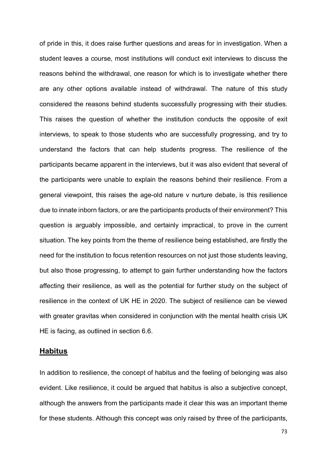of pride in this, it does raise further questions and areas for in investigation. When a student leaves a course, most institutions will conduct exit interviews to discuss the reasons behind the withdrawal, one reason for which is to investigate whether there are any other options available instead of withdrawal. The nature of this study considered the reasons behind students successfully progressing with their studies. This raises the question of whether the institution conducts the opposite of exit interviews, to speak to those students who are successfully progressing, and try to understand the factors that can help students progress. The resilience of the participants became apparent in the interviews, but it was also evident that several of the participants were unable to explain the reasons behind their resilience. From a general viewpoint, this raises the age-old nature v nurture debate, is this resilience due to innate inborn factors, or are the participants products of their environment? This question is arguably impossible, and certainly impractical, to prove in the current situation. The key points from the theme of resilience being established, are firstly the need for the institution to focus retention resources on not just those students leaving, but also those progressing, to attempt to gain further understanding how the factors affecting their resilience, as well as the potential for further study on the subject of resilience in the context of UK HE in 2020. The subject of resilience can be viewed with greater gravitas when considered in conjunction with the mental health crisis UK HE is facing, as outlined in section 6.6.

## **Habitus**

In addition to resilience, the concept of habitus and the feeling of belonging was also evident. Like resilience, it could be argued that habitus is also a subjective concept, although the answers from the participants made it clear this was an important theme for these students. Although this concept was only raised by three of the participants,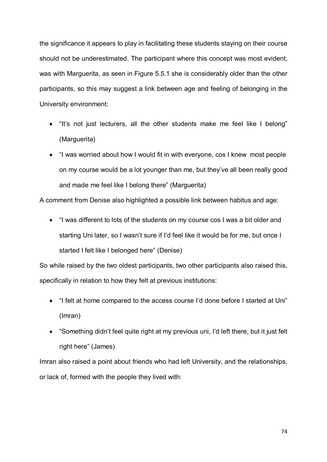the significance it appears to play in facilitating these students staying on their course should not be underestimated. The participant where this concept was most evident, was with Marguerita, as seen in Figure 5.5.1 she is considerably older than the other participants, so this may suggest a link between age and feeling of belonging in the University environment:

- "It's not just lecturers, all the other students make me feel like I belong" (Marguerita)
- "I was worried about how I would fit in with everyone, cos I knew most people on my course would be a lot younger than me, but they've all been really good and made me feel like I belong there" (Marguerita)

A comment from Denise also highlighted a possible link between habitus and age:

• "I was different to lots of the students on my course cos I was a bit older and starting Uni later, so I wasn't sure if I'd feel like it would be for me, but once I started I felt like I belonged here" (Denise)

So while raised by the two oldest participants, two other participants also raised this, specifically in relation to how they felt at previous institutions:

- "I felt at home compared to the access course I'd done before I started at Uni" (Imran)
- "Something didn't feel quite right at my previous uni, I'd left there, but it just felt right here" (James)

Imran also raised a point about friends who had left University, and the relationships, or lack of, formed with the people they lived with: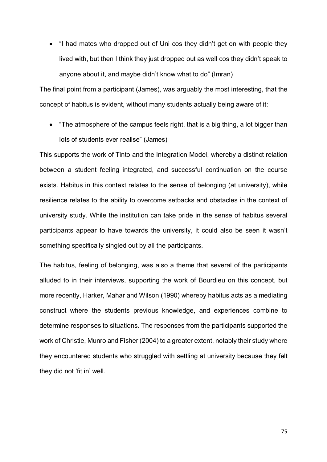• "I had mates who dropped out of Uni cos they didn't get on with people they lived with, but then I think they just dropped out as well cos they didn't speak to anyone about it, and maybe didn't know what to do" (Imran)

The final point from a participant (James), was arguably the most interesting, that the concept of habitus is evident, without many students actually being aware of it:

• "The atmosphere of the campus feels right, that is a big thing, a lot bigger than lots of students ever realise" (James)

This supports the work of Tinto and the Integration Model, whereby a distinct relation between a student feeling integrated, and successful continuation on the course exists. Habitus in this context relates to the sense of belonging (at university), while resilience relates to the ability to overcome setbacks and obstacles in the context of university study. While the institution can take pride in the sense of habitus several participants appear to have towards the university, it could also be seen it wasn't something specifically singled out by all the participants.

The habitus, feeling of belonging, was also a theme that several of the participants alluded to in their interviews, supporting the work of Bourdieu on this concept, but more recently, Harker, Mahar and Wilson (1990) whereby habitus acts as a mediating construct where the students previous knowledge, and experiences combine to determine responses to situations. The responses from the participants supported the work of Christie, Munro and Fisher (2004) to a greater extent, notably their study where they encountered students who struggled with settling at university because they felt they did not 'fit in' well.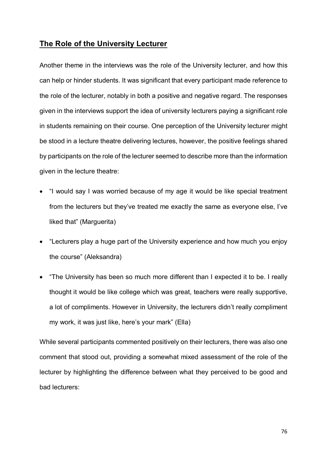### **The Role of the University Lecturer**

Another theme in the interviews was the role of the University lecturer, and how this can help or hinder students. It was significant that every participant made reference to the role of the lecturer, notably in both a positive and negative regard. The responses given in the interviews support the idea of university lecturers paying a significant role in students remaining on their course. One perception of the University lecturer might be stood in a lecture theatre delivering lectures, however, the positive feelings shared by participants on the role of the lecturer seemed to describe more than the information given in the lecture theatre:

- "I would say I was worried because of my age it would be like special treatment from the lecturers but they've treated me exactly the same as everyone else, I've liked that" (Marguerita)
- "Lecturers play a huge part of the University experience and how much you enjoy the course" (Aleksandra)
- "The University has been so much more different than I expected it to be. I really thought it would be like college which was great, teachers were really supportive, a lot of compliments. However in University, the lecturers didn't really compliment my work, it was just like, here's your mark" (Ella)

While several participants commented positively on their lecturers, there was also one comment that stood out, providing a somewhat mixed assessment of the role of the lecturer by highlighting the difference between what they perceived to be good and bad lecturers: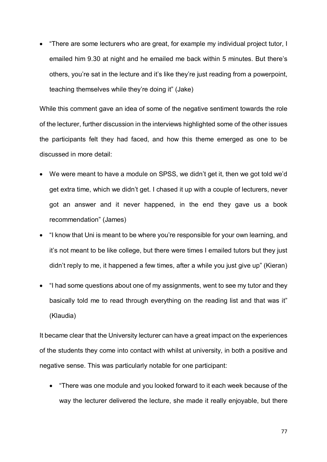• "There are some lecturers who are great, for example my individual project tutor, I emailed him 9.30 at night and he emailed me back within 5 minutes. But there's others, you're sat in the lecture and it's like they're just reading from a powerpoint, teaching themselves while they're doing it" (Jake)

While this comment gave an idea of some of the negative sentiment towards the role of the lecturer, further discussion in the interviews highlighted some of the other issues the participants felt they had faced, and how this theme emerged as one to be discussed in more detail:

- We were meant to have a module on SPSS, we didn't get it, then we got told we'd get extra time, which we didn't get. I chased it up with a couple of lecturers, never got an answer and it never happened, in the end they gave us a book recommendation" (James)
- "I know that Uni is meant to be where you're responsible for your own learning, and it's not meant to be like college, but there were times I emailed tutors but they just didn't reply to me, it happened a few times, after a while you just give up" (Kieran)
- "I had some questions about one of my assignments, went to see my tutor and they basically told me to read through everything on the reading list and that was it" (Klaudia)

It became clear that the University lecturer can have a great impact on the experiences of the students they come into contact with whilst at university, in both a positive and negative sense. This was particularly notable for one participant:

• "There was one module and you looked forward to it each week because of the way the lecturer delivered the lecture, she made it really enjoyable, but there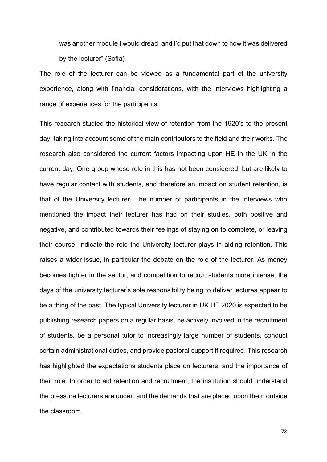was another module I would dread, and I'd put that down to how it was delivered by the lecturer" (Sofia)

The role of the lecturer can be viewed as a fundamental part of the university experience, along with financial considerations, with the interviews highlighting a range of experiences for the participants.

This research studied the historical view of retention from the 1920's to the present day, taking into account some of the main contributors to the field and their works. The research also considered the current factors impacting upon HE in the UK in the current day. One group whose role in this has not been considered, but are likely to have regular contact with students, and therefore an impact on student retention, is that of the University lecturer. The number of participants in the interviews who mentioned the impact their lecturer has had on their studies, both positive and negative, and contributed towards their feelings of staying on to complete, or leaving their course, indicate the role the University lecturer plays in aiding retention. This raises a wider issue, in particular the debate on the role of the lecturer. As money becomes tighter in the sector, and competition to recruit students more intense, the days of the university lecturer's sole responsibility being to deliver lectures appear to be a thing of the past. The typical University lecturer in UK HE 2020 is expected to be publishing research papers on a regular basis, be actively involved in the recruitment of students, be a personal tutor to increasingly large number of students, conduct certain administrational duties, and provide pastoral support if required. This research has highlighted the expectations students place on lecturers, and the importance of their role. In order to aid retention and recruitment, the institution should understand the pressure lecturers are under, and the demands that are placed upon them outside the classroom.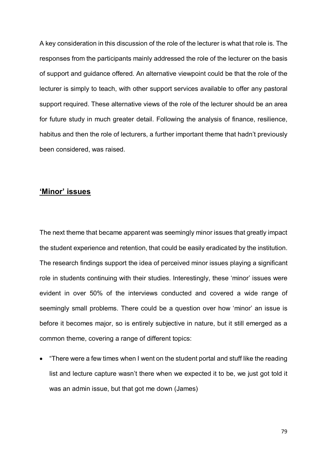A key consideration in this discussion of the role of the lecturer is what that role is. The responses from the participants mainly addressed the role of the lecturer on the basis of support and guidance offered. An alternative viewpoint could be that the role of the lecturer is simply to teach, with other support services available to offer any pastoral support required. These alternative views of the role of the lecturer should be an area for future study in much greater detail. Following the analysis of finance, resilience, habitus and then the role of lecturers, a further important theme that hadn't previously been considered, was raised.

# **'Minor' issues**

The next theme that became apparent was seemingly minor issues that greatly impact the student experience and retention, that could be easily eradicated by the institution. The research findings support the idea of perceived minor issues playing a significant role in students continuing with their studies. Interestingly, these 'minor' issues were evident in over 50% of the interviews conducted and covered a wide range of seemingly small problems. There could be a question over how 'minor' an issue is before it becomes major, so is entirely subjective in nature, but it still emerged as a common theme, covering a range of different topics:

• "There were a few times when I went on the student portal and stuff like the reading list and lecture capture wasn't there when we expected it to be, we just got told it was an admin issue, but that got me down (James)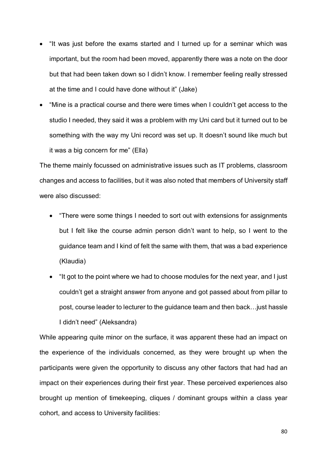- "It was just before the exams started and I turned up for a seminar which was important, but the room had been moved, apparently there was a note on the door but that had been taken down so I didn't know. I remember feeling really stressed at the time and I could have done without it" (Jake)
- "Mine is a practical course and there were times when I couldn't get access to the studio I needed, they said it was a problem with my Uni card but it turned out to be something with the way my Uni record was set up. It doesn't sound like much but it was a big concern for me" (Ella)

The theme mainly focussed on administrative issues such as IT problems, classroom changes and access to facilities, but it was also noted that members of University staff were also discussed:

- "There were some things I needed to sort out with extensions for assignments but I felt like the course admin person didn't want to help, so I went to the guidance team and I kind of felt the same with them, that was a bad experience (Klaudia)
- "It got to the point where we had to choose modules for the next year, and I just couldn't get a straight answer from anyone and got passed about from pillar to post, course leader to lecturer to the guidance team and then back…just hassle I didn't need" (Aleksandra)

While appearing quite minor on the surface, it was apparent these had an impact on the experience of the individuals concerned, as they were brought up when the participants were given the opportunity to discuss any other factors that had had an impact on their experiences during their first year. These perceived experiences also brought up mention of timekeeping, cliques / dominant groups within a class year cohort, and access to University facilities: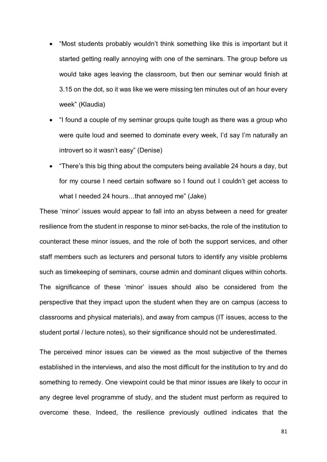- "Most students probably wouldn't think something like this is important but it started getting really annoying with one of the seminars. The group before us would take ages leaving the classroom, but then our seminar would finish at 3.15 on the dot, so it was like we were missing ten minutes out of an hour every week" (Klaudia)
- "I found a couple of my seminar groups quite tough as there was a group who were quite loud and seemed to dominate every week, I'd say I'm naturally an introvert so it wasn't easy" (Denise)
- "There's this big thing about the computers being available 24 hours a day, but for my course I need certain software so I found out I couldn't get access to what I needed 24 hours…that annoyed me" (Jake)

These 'minor' issues would appear to fall into an abyss between a need for greater resilience from the student in response to minor set-backs, the role of the institution to counteract these minor issues, and the role of both the support services, and other staff members such as lecturers and personal tutors to identify any visible problems such as timekeeping of seminars, course admin and dominant cliques within cohorts. The significance of these 'minor' issues should also be considered from the perspective that they impact upon the student when they are on campus (access to classrooms and physical materials), and away from campus (IT issues, access to the student portal / lecture notes), so their significance should not be underestimated.

The perceived minor issues can be viewed as the most subjective of the themes established in the interviews, and also the most difficult for the institution to try and do something to remedy. One viewpoint could be that minor issues are likely to occur in any degree level programme of study, and the student must perform as required to overcome these. Indeed, the resilience previously outlined indicates that the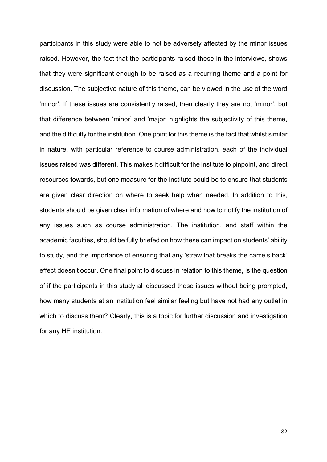participants in this study were able to not be adversely affected by the minor issues raised. However, the fact that the participants raised these in the interviews, shows that they were significant enough to be raised as a recurring theme and a point for discussion. The subjective nature of this theme, can be viewed in the use of the word 'minor'. If these issues are consistently raised, then clearly they are not 'minor', but that difference between 'minor' and 'major' highlights the subjectivity of this theme, and the difficulty for the institution. One point for this theme is the fact that whilst similar in nature, with particular reference to course administration, each of the individual issues raised was different. This makes it difficult for the institute to pinpoint, and direct resources towards, but one measure for the institute could be to ensure that students are given clear direction on where to seek help when needed. In addition to this, students should be given clear information of where and how to notify the institution of any issues such as course administration. The institution, and staff within the academic faculties, should be fully briefed on how these can impact on students' ability to study, and the importance of ensuring that any 'straw that breaks the camels back' effect doesn't occur. One final point to discuss in relation to this theme, is the question of if the participants in this study all discussed these issues without being prompted, how many students at an institution feel similar feeling but have not had any outlet in which to discuss them? Clearly, this is a topic for further discussion and investigation for any HE institution.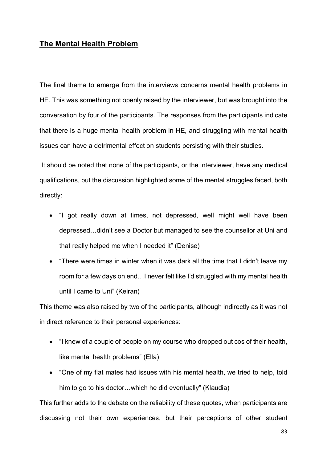## **The Mental Health Problem**

The final theme to emerge from the interviews concerns mental health problems in HE. This was something not openly raised by the interviewer, but was brought into the conversation by four of the participants. The responses from the participants indicate that there is a huge mental health problem in HE, and struggling with mental health issues can have a detrimental effect on students persisting with their studies.

It should be noted that none of the participants, or the interviewer, have any medical qualifications, but the discussion highlighted some of the mental struggles faced, both directly:

- "I got really down at times, not depressed, well might well have been depressed…didn't see a Doctor but managed to see the counsellor at Uni and that really helped me when I needed it" (Denise)
- "There were times in winter when it was dark all the time that I didn't leave my room for a few days on end…I never felt like I'd struggled with my mental health until I came to Uni" (Keiran)

This theme was also raised by two of the participants, although indirectly as it was not in direct reference to their personal experiences:

- "I knew of a couple of people on my course who dropped out cos of their health, like mental health problems" (Ella)
- "One of my flat mates had issues with his mental health, we tried to help, told him to go to his doctor…which he did eventually" (Klaudia)

This further adds to the debate on the reliability of these quotes, when participants are discussing not their own experiences, but their perceptions of other student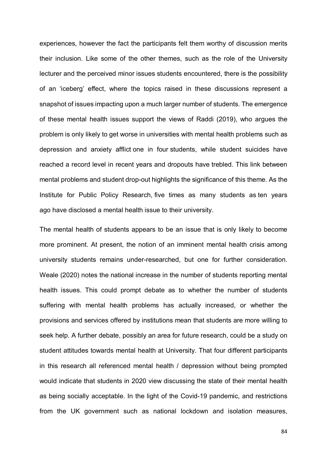experiences, however the fact the participants felt them worthy of discussion merits their inclusion. Like some of the other themes, such as the role of the University lecturer and the perceived minor issues students encountered, there is the possibility of an 'iceberg' effect, where the topics raised in these discussions represent a snapshot of issues impacting upon a much larger number of students. The emergence of these mental health issues support the views of Raddi (2019), who argues the problem is only likely to get worse in universities with mental health problems such as depression and anxiety afflict [one in four](https://yougov.co.uk/news/2016/08/09/quarter-britains-students-are-afflicted-mental-hea/) students, while student suicides have reached a record level in recent years and dropouts have [trebled.](https://www.universitiesuk.ac.uk/policy-and-analysis/reports/Pages/minding-our-future-starting-a-conversation-support-student-mental-health.aspx) This link between mental problems and student drop-out highlights the significance of this theme. As the Institute for Public Policy Research, [five times as many students as](https://www.ippr.org/files/2017-09/1504645674_not-by-degrees-170905.pdf) [ten years](https://www.ippr.org/files/2017-09/1504645674_not-by-degrees-170905.pdf)  [ago](https://www.ippr.org/files/2017-09/1504645674_not-by-degrees-170905.pdf) have disclosed a mental health issue to their university.

The mental health of students appears to be an issue that is only likely to become more prominent. At present, the notion of an imminent mental health crisis among university students remains under-researched, but one for further consideration. Weale (2020) notes the national increase in the number of students reporting mental health issues. This could prompt debate as to whether the number of students suffering with mental health problems has actually increased, or whether the provisions and services offered by institutions mean that students are more willing to seek help. A further debate, possibly an area for future research, could be a study on student attitudes towards mental health at University. That four different participants in this research all referenced mental health / depression without being prompted would indicate that students in 2020 view discussing the state of their mental health as being socially acceptable. In the light of the Covid-19 pandemic, and restrictions from the UK government such as national lockdown and isolation measures,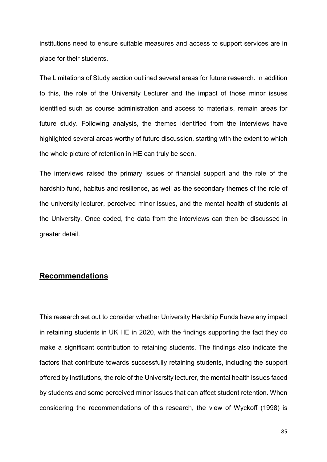institutions need to ensure suitable measures and access to support services are in place for their students.

The Limitations of Study section outlined several areas for future research. In addition to this, the role of the University Lecturer and the impact of those minor issues identified such as course administration and access to materials, remain areas for future study. Following analysis, the themes identified from the interviews have highlighted several areas worthy of future discussion, starting with the extent to which the whole picture of retention in HE can truly be seen.

The interviews raised the primary issues of financial support and the role of the hardship fund, habitus and resilience, as well as the secondary themes of the role of the university lecturer, perceived minor issues, and the mental health of students at the University. Once coded, the data from the interviews can then be discussed in greater detail.

# **Recommendations**

This research set out to consider whether University Hardship Funds have any impact in retaining students in UK HE in 2020, with the findings supporting the fact they do make a significant contribution to retaining students. The findings also indicate the factors that contribute towards successfully retaining students, including the support offered by institutions, the role of the University lecturer, the mental health issues faced by students and some perceived minor issues that can affect student retention. When considering the recommendations of this research, the view of Wyckoff (1998) is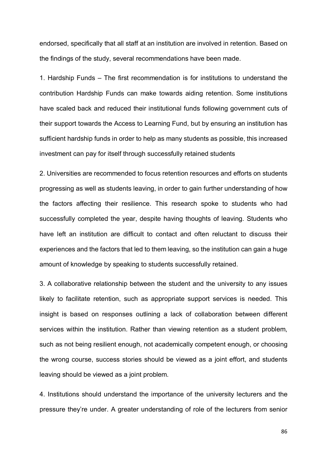endorsed, specifically that all staff at an institution are involved in retention. Based on the findings of the study, several recommendations have been made.

1. Hardship Funds – The first recommendation is for institutions to understand the contribution Hardship Funds can make towards aiding retention. Some institutions have scaled back and reduced their institutional funds following government cuts of their support towards the Access to Learning Fund, but by ensuring an institution has sufficient hardship funds in order to help as many students as possible, this increased investment can pay for itself through successfully retained students

2. Universities are recommended to focus retention resources and efforts on students progressing as well as students leaving, in order to gain further understanding of how the factors affecting their resilience. This research spoke to students who had successfully completed the year, despite having thoughts of leaving. Students who have left an institution are difficult to contact and often reluctant to discuss their experiences and the factors that led to them leaving, so the institution can gain a huge amount of knowledge by speaking to students successfully retained.

3. A collaborative relationship between the student and the university to any issues likely to facilitate retention, such as appropriate support services is needed. This insight is based on responses outlining a lack of collaboration between different services within the institution. Rather than viewing retention as a student problem, such as not being resilient enough, not academically competent enough, or choosing the wrong course, success stories should be viewed as a joint effort, and students leaving should be viewed as a joint problem.

4. Institutions should understand the importance of the university lecturers and the pressure they're under. A greater understanding of role of the lecturers from senior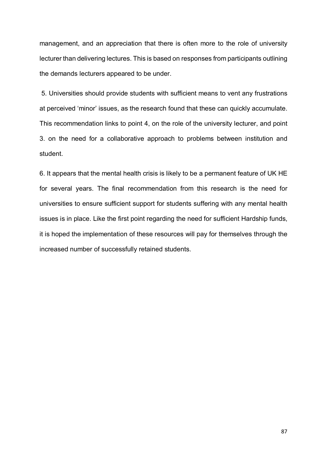management, and an appreciation that there is often more to the role of university lecturer than delivering lectures. This is based on responses from participants outlining the demands lecturers appeared to be under.

5. Universities should provide students with sufficient means to vent any frustrations at perceived 'minor' issues, as the research found that these can quickly accumulate. This recommendation links to point 4, on the role of the university lecturer, and point 3. on the need for a collaborative approach to problems between institution and student.

6. It appears that the mental health crisis is likely to be a permanent feature of UK HE for several years. The final recommendation from this research is the need for universities to ensure sufficient support for students suffering with any mental health issues is in place. Like the first point regarding the need for sufficient Hardship funds, it is hoped the implementation of these resources will pay for themselves through the increased number of successfully retained students.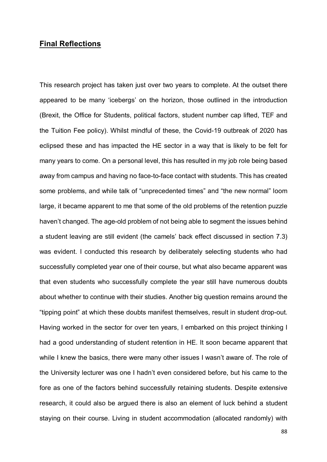## **Final Reflections**

This research project has taken just over two years to complete. At the outset there appeared to be many 'icebergs' on the horizon, those outlined in the introduction (Brexit, the Office for Students, political factors, student number cap lifted, TEF and the Tuition Fee policy). Whilst mindful of these, the Covid-19 outbreak of 2020 has eclipsed these and has impacted the HE sector in a way that is likely to be felt for many years to come. On a personal level, this has resulted in my job role being based away from campus and having no face-to-face contact with students. This has created some problems, and while talk of "unprecedented times" and "the new normal" loom large, it became apparent to me that some of the old problems of the retention puzzle haven't changed. The age-old problem of not being able to segment the issues behind a student leaving are still evident (the camels' back effect discussed in section 7.3) was evident. I conducted this research by deliberately selecting students who had successfully completed year one of their course, but what also became apparent was that even students who successfully complete the year still have numerous doubts about whether to continue with their studies. Another big question remains around the "tipping point" at which these doubts manifest themselves, result in student drop-out. Having worked in the sector for over ten years, I embarked on this project thinking I had a good understanding of student retention in HE. It soon became apparent that while I knew the basics, there were many other issues I wasn't aware of. The role of the University lecturer was one I hadn't even considered before, but his came to the fore as one of the factors behind successfully retaining students. Despite extensive research, it could also be argued there is also an element of luck behind a student staying on their course. Living in student accommodation (allocated randomly) with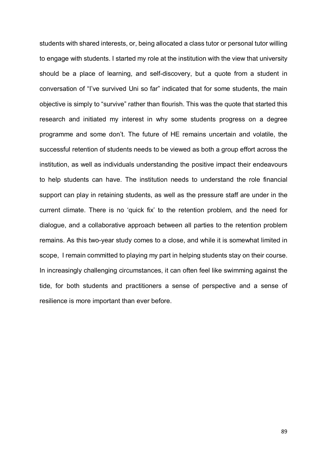students with shared interests, or, being allocated a class tutor or personal tutor willing to engage with students. I started my role at the institution with the view that university should be a place of learning, and self-discovery, but a quote from a student in conversation of "I've survived Uni so far" indicated that for some students, the main objective is simply to "survive" rather than flourish. This was the quote that started this research and initiated my interest in why some students progress on a degree programme and some don't. The future of HE remains uncertain and volatile, the successful retention of students needs to be viewed as both a group effort across the institution, as well as individuals understanding the positive impact their endeavours to help students can have. The institution needs to understand the role financial support can play in retaining students, as well as the pressure staff are under in the current climate. There is no 'quick fix' to the retention problem, and the need for dialogue, and a collaborative approach between all parties to the retention problem remains. As this two-year study comes to a close, and while it is somewhat limited in scope, I remain committed to playing my part in helping students stay on their course. In increasingly challenging circumstances, it can often feel like swimming against the tide, for both students and practitioners a sense of perspective and a sense of resilience is more important than ever before.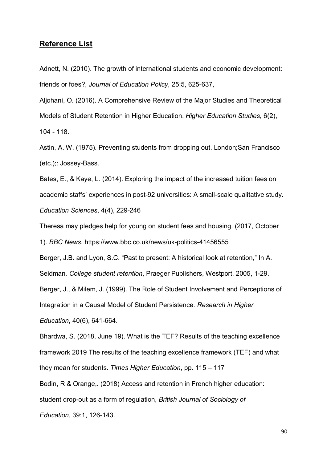### **Reference List**

Adnett, N. (2010). The growth of international students and economic development: friends or foes?, *Journal of Education Policy*, 25:5, 625-637,

Aljohani, O. (2016). A Comprehensive Review of the Major Studies and Theoretical Models of Student Retention in Higher Education. *Higher Education Studies*, 6(2), 104 - 118.

Astin, A. W. (1975). Preventing students from dropping out. London;San Francisco (etc.);: Jossey-Bass.

Bates, E., & Kaye, L. (2014). Exploring the impact of the increased tuition fees on academic staffs' experiences in post-92 universities: A small-scale qualitative study. *Education Sciences*, 4(4), 229-246

Theresa may pledges help for young on student fees and housing. (2017, October

1). *BBC News*. https://www.bbc.co.uk/news/uk-politics-41456555

Berger, J.B. and Lyon, S.C. "Past to present: A historical look at retention," In A.

Seidman*, College student retention*, Praeger Publishers, Westport, 2005, 1-29.

Berger, J., & Milem, J. (1999). The Role of Student Involvement and Perceptions of

Integration in a Causal Model of Student Persistence*. Research in Higher* 

*Education*, 40(6), 641-664.

Bhardwa, S. (2018, June 19). What is the TEF? Results of the teaching excellence framework 2019 The results of the teaching excellence framework (TEF) and what they mean for students. *Times Higher Education*, pp. 115 – 117

Bodin, R & Orange,. (2018) Access and retention in French higher education:

student drop-out as a form of regulation, *British Journal of Sociology of* 

*Education*, 39:1, 126-143.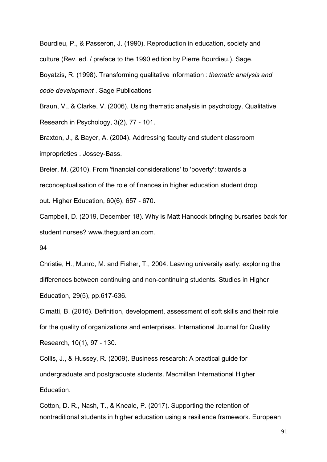Bourdieu, P., & Passeron, J. (1990). Reproduction in education, society and culture (Rev. ed. / preface to the 1990 edition by Pierre Bourdieu.). Sage.

Boyatzis, R. (1998). Transforming qualitative information : *thematic analysis and code development* . Sage Publications

Braun, V., & Clarke, V. (2006). Using thematic analysis in psychology. Qualitative Research in Psychology, 3(2), 77 - 101.

Braxton, J., & Bayer, A. (2004). Addressing faculty and student classroom improprieties . Jossey-Bass.

Breier, M. (2010). From 'financial considerations' to 'poverty': towards a reconceptualisation of the role of finances in higher education student drop out. Higher Education, 60(6), 657 - 670.

Campbell, D. (2019, December 18). Why is Matt Hancock bringing bursaries back for student nurses? www.theguardian.com.

94

Christie, H., Munro, M. and Fisher, T., 2004. Leaving university early: exploring the differences between continuing and non‐continuing students. Studies in Higher Education, 29(5), pp.617-636.

Cimatti, B. (2016). Definition, development, assessment of soft skills and their role for the quality of organizations and enterprises. International Journal for Quality Research, 10(1), 97 - 130.

Collis, J., & Hussey, R. (2009). Business research: A practical guide for undergraduate and postgraduate students. Macmillan International Higher Education.

Cotton, D. R., Nash, T., & Kneale, P. (2017). Supporting the retention of nontraditional students in higher education using a resilience framework. European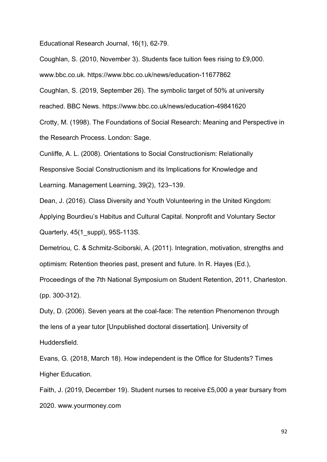Educational Research Journal, 16(1), 62-79.

Coughlan, S. (2010, November 3). Students face tuition fees rising to £9,000.

www.bbc.co.uk. https://www.bbc.co.uk/news/education-11677862

Coughlan, S. (2019, September 26). The symbolic target of 50% at university

reached. BBC News. https://www.bbc.co.uk/news/education-49841620

Crotty, M. (1998). The Foundations of Social Research: Meaning and Perspective in the Research Process. London: Sage.

Cunliffe, A. L. (2008). Orientations to Social Constructionism: Relationally

Responsive Social Constructionism and its Implications for Knowledge and

Learning. Management Learning, 39(2), 123–139.

Dean, J. (2016). Class Diversity and Youth Volunteering in the United Kingdom:

Applying Bourdieu's Habitus and Cultural Capital. Nonprofit and Voluntary Sector Quarterly, 45(1\_suppl), 95S-113S.

Demetriou, C. & Schmitz-Sciborski, A. (2011). Integration, motivation, strengths and optimism: Retention theories past, present and future. In R. Hayes (Ed.),

Proceedings of the 7th National Symposium on Student Retention, 2011, Charleston. (pp. 300-312).

Duty, D. (2006). Seven years at the coal-face: The retention Phenomenon through the lens of a year tutor [Unpublished doctoral dissertation]. University of Huddersfield.

Evans, G. (2018, March 18). How independent is the Office for Students? Times Higher Education.

Faith, J. (2019, December 19). Student nurses to receive £5,000 a year bursary from 2020. www.yourmoney.com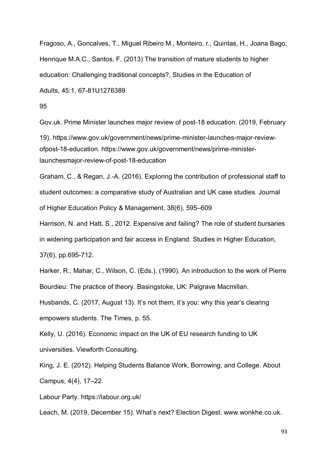Fragoso, A., Goncalves, T., Miguel Ribeiro M., Monteiro, r., Quintas, H., Joana Bago, Henrique M.A.C., Santos, F. (2013) The transition of mature students to higher education: Challenging traditional concepts?, Studies in the Education of Adults, 45:1, 67-81U1276389

#### 95

Gov.uk. Prime Minister launches major review of post-18 education. (2019, February 19). https://www.gov.uk/government/news/prime-minister-launches-major-reviewofpost-18-education. https://www.gov.uk/government/news/prime-ministerlaunchesmajor-review-of-post-18-education

Graham, C., & Regan, J.-A. (2016). Exploring the contribution of professional staff to student outcomes: a comparative study of Australian and UK case studies. Journal of Higher Education Policy & Management, 38(6), 595–609

Harrison, N. and Hatt, S., 2012. Expensive and failing? The role of student bursaries in widening participation and fair access in England. Studies in Higher Education, 37(6), pp.695-712.

Harker, R., Mahar, C., Wilson, C. (Eds.). (1990). An introduction to the work of Pierre Bourdieu: The practice of theory. Basingstoke, UK: Palgrave Macmillan. Husbands, C. (2017, August 13). It's not them, it's you: why this year's clearing empowers students. The Times, p. 55.

Kelly, U. (2016). Economic impact on the UK of EU research funding to UK universities. Viewforth Consulting.

King, J. E. (2012). Helping Students Balance Work, Borrowing, and College. About Campus, 4(4), 17–22.

Labour Party. https://labour.org.uk/

Leach, M. (2019, December 15). What's next? Election Digest. www.wonkhe.co.uk.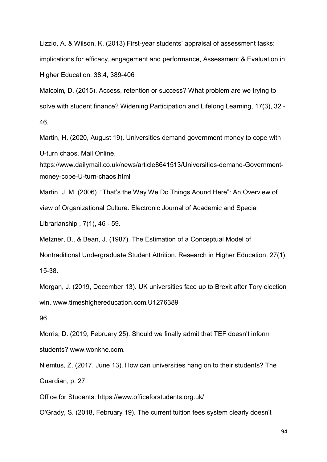Lizzio, A. & Wilson, K. (2013) First-year students' appraisal of assessment tasks: implications for efficacy, engagement and performance, Assessment & Evaluation in Higher Education, 38:4, 389-406

Malcolm, D. (2015). Access, retention or success? What problem are we trying to solve with student finance? Widening Participation and Lifelong Learning, 17(3), 32 - 46.

Martin, H. (2020, August 19). Universities demand government money to cope with U-turn chaos. Mail Online.

https://www.dailymail.co.uk/news/article8641513/Universities-demand-Governmentmoney-cope-U-turn-chaos.html

Martin, J. M. (2006). "That's the Way We Do Things Aound Here": An Overview of view of Organizational Culture. Electronic Journal of Academic and Special Librarianship , 7(1), 46 - 59.

Metzner, B., & Bean, J. (1987). The Estimation of a Conceptual Model of

Nontraditional Undergraduate Student Attrition. Research in Higher Education, 27(1), 15-38.

Morgan, J. (2019, December 13). UK universities face up to Brexit after Tory election win. www.timeshighereducation.com.U1276389

96

Morris, D. (2019, February 25). Should we finally admit that TEF doesn't inform students? www.wonkhe.com.

Niemtus, Z. (2017, June 13). How can universities hang on to their students? The Guardian, p. 27.

Office for Students. https://www.officeforstudents.org.uk/

O'Grady, S. (2018, February 19). The current tuition fees system clearly doesn't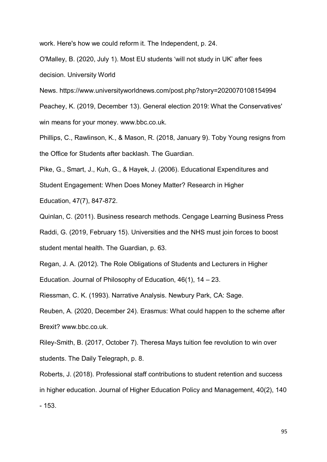work. Here's how we could reform it. The Independent, p. 24.

O'Malley, B. (2020, July 1). Most EU students 'will not study in UK' after fees decision. University World

News. https://www.universityworldnews.com/post.php?story=2020070108154994 Peachey, K. (2019, December 13). General election 2019: What the Conservatives' win means for your money. www.bbc.co.uk.

Phillips, C., Rawlinson, K., & Mason, R. (2018, January 9). Toby Young resigns from the Office for Students after backlash. The Guardian.

Pike, G., Smart, J., Kuh, G., & Hayek, J. (2006). Educational Expenditures and Student Engagement: When Does Money Matter? Research in Higher Education, 47(7), 847-872.

Quinlan, C. (2011). Business research methods. Cengage Learning Business Press Raddi, G. (2019, February 15). Universities and the NHS must join forces to boost student mental health. The Guardian, p. 63.

Regan, J. A. (2012). The Role Obligations of Students and Lecturers in Higher Education. Journal of Philosophy of Education, 46(1), 14 – 23.

Riessman, C. K. (1993). Narrative Analysis. Newbury Park, CA: Sage.

Reuben, A. (2020, December 24). Erasmus: What could happen to the scheme after Brexit? www.bbc.co.uk.

Riley-Smith, B. (2017, October 7). Theresa Mays tuition fee revolution to win over students. The Daily Telegraph, p. 8.

Roberts, J. (2018). Professional staff contributions to student retention and success in higher education. Journal of Higher Education Policy and Management, 40(2), 140 - 153.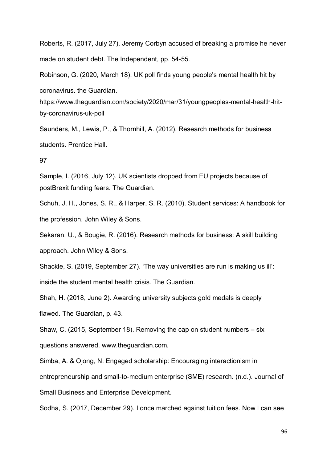Roberts, R. (2017, July 27). Jeremy Corbyn accused of breaking a promise he never made on student debt. The Independent, pp. 54-55.

Robinson, G. (2020, March 18). UK poll finds young people's mental health hit by coronavirus. the Guardian.

https://www.theguardian.com/society/2020/mar/31/youngpeoples-mental-health-hitby-coronavirus-uk-poll

Saunders, M., Lewis, P., & Thornhill, A. (2012). Research methods for business students. Prentice Hall.

#### 97

Sample, I. (2016, July 12). UK scientists dropped from EU projects because of postBrexit funding fears. The Guardian.

Schuh, J. H., Jones, S. R., & Harper, S. R. (2010). Student services: A handbook for the profession. John Wiley & Sons.

Sekaran, U., & Bougie, R. (2016). Research methods for business: A skill building approach. John Wiley & Sons.

Shackle, S. (2019, September 27). 'The way universities are run is making us ill': inside the student mental health crisis. The Guardian.

Shah, H. (2018, June 2). Awarding university subjects gold medals is deeply flawed. The Guardian, p. 43.

Shaw, C. (2015, September 18). Removing the cap on student numbers – six questions answered. www.theguardian.com.

Simba, A. & Ojong, N. Engaged scholarship: Encouraging interactionism in entrepreneurship and small-to-medium enterprise (SME) research. (n.d.). Journal of Small Business and Enterprise Development.

Sodha, S. (2017, December 29). I once marched against tuition fees. Now I can see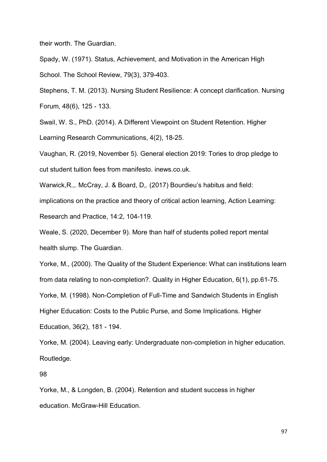their worth. The Guardian.

Spady, W. (1971). Status, Achievement, and Motivation in the American High School. The School Review, 79(3), 379-403.

Stephens, T. M. (2013). Nursing Student Resilience: A concept clarification. Nursing Forum, 48(6), 125 - 133.

Swail, W. S., PhD. (2014). A Different Viewpoint on Student Retention. Higher Learning Research Communications, 4(2), 18-25.

Vaughan, R. (2019, November 5). General election 2019: Tories to drop pledge to cut student tuition fees from manifesto. inews.co.uk.

Warwick,R.,. McCray, J. & Board, D,. (2017) Bourdieu's habitus and field:

implications on the practice and theory of critical action learning, Action Learning:

Research and Practice, 14:2, 104-119.

Weale, S. (2020, December 9). More than half of students polled report mental health slump. The Guardian.

Yorke, M., (2000). The Quality of the Student Experience: What can institutions learn

from data relating to non-completion?. Quality in Higher Education, 6(1), pp.61-75.

Yorke, M. (1998). Non-Completion of Full-Time and Sandwich Students in English

Higher Education: Costs to the Public Purse, and Some Implications. Higher

Education, 36(2), 181 - 194.

Yorke, M. (2004). Leaving early: Undergraduate non-completion in higher education. Routledge.

98

Yorke, M., & Longden, B. (2004). Retention and student success in higher education. McGraw-Hill Education.